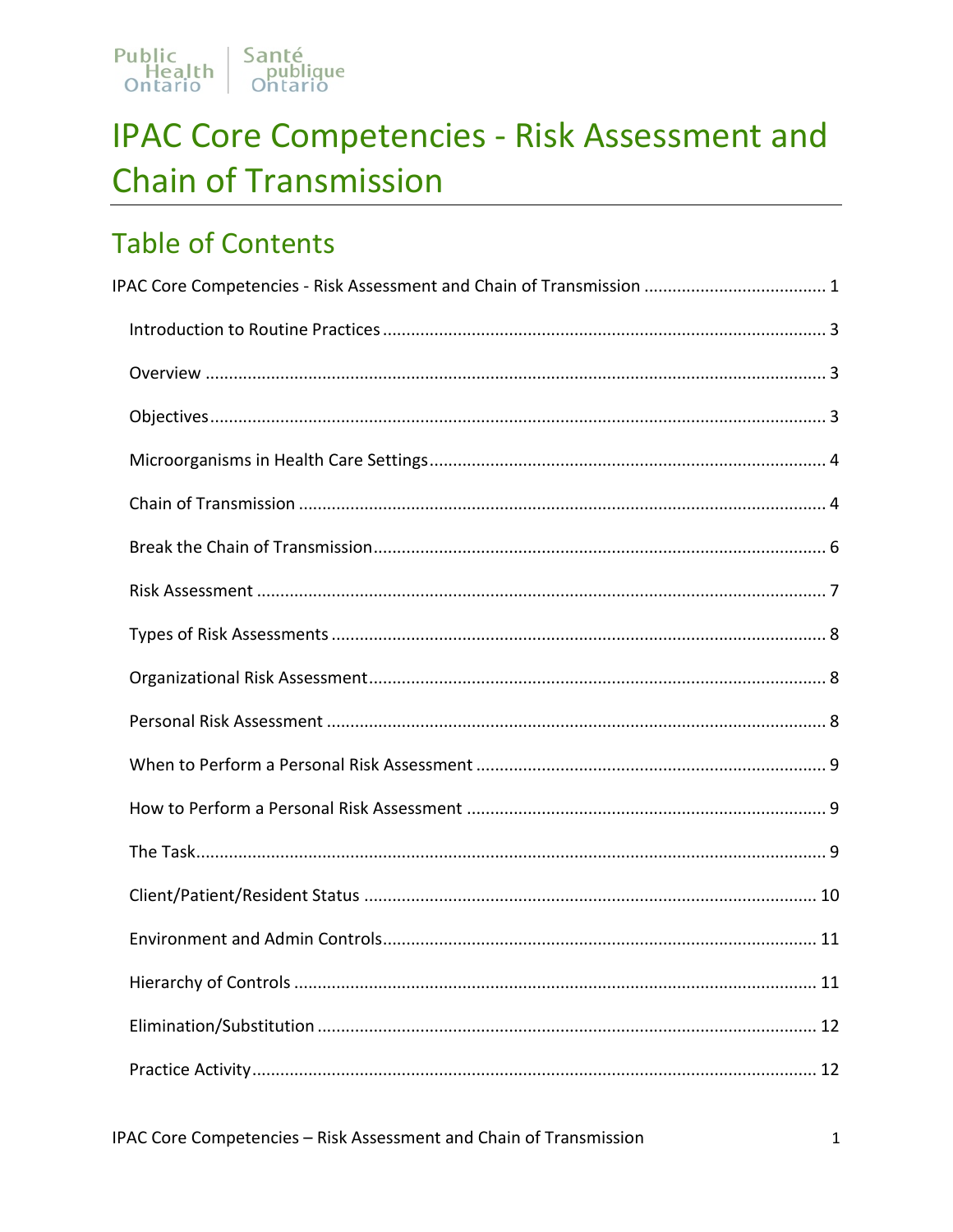

# <span id="page-0-0"></span>**IPAC Core Competencies - Risk Assessment and Chain of Transmission**

# **Table of Contents**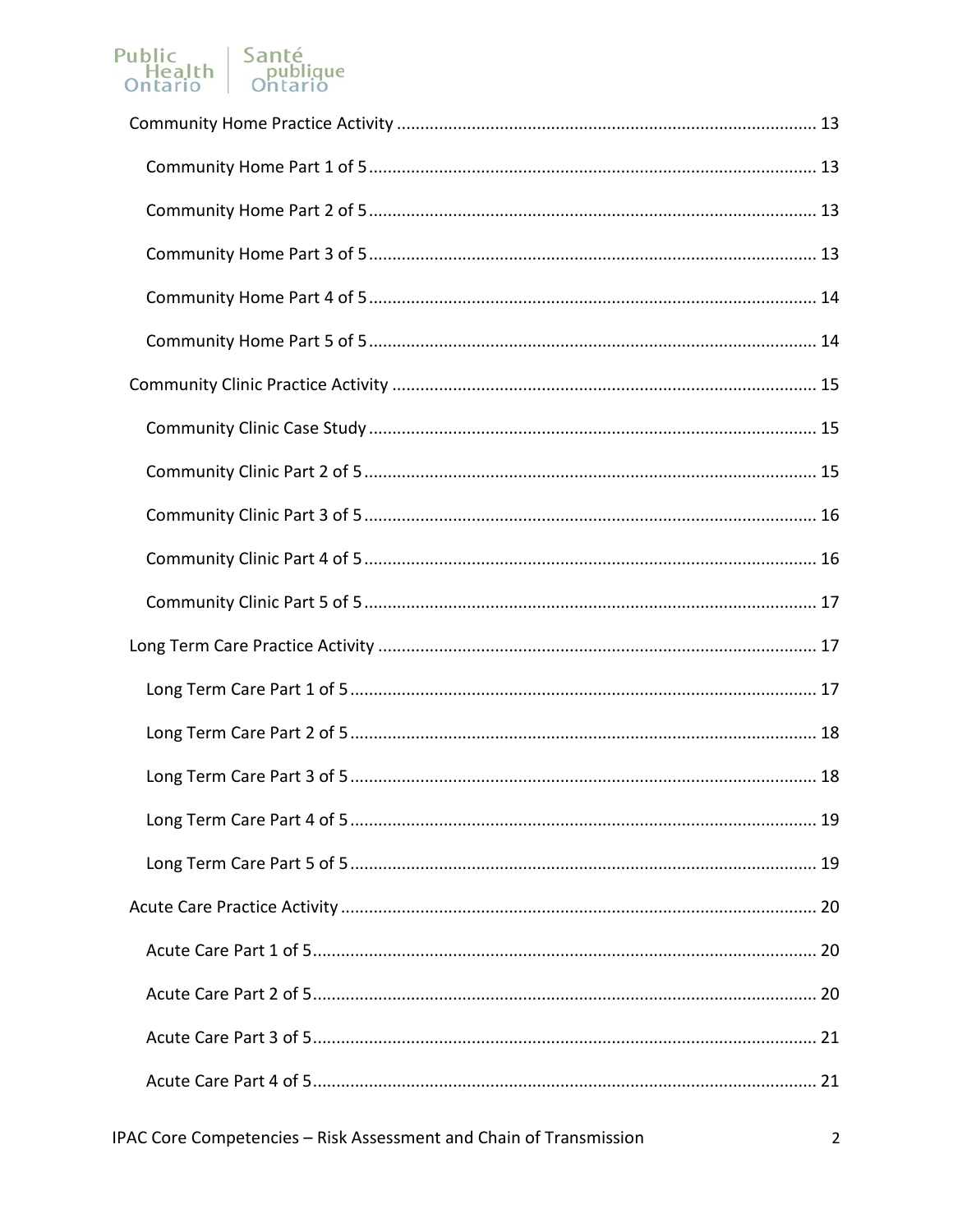# Public<br>
Health publique<br>
Ontario Ontario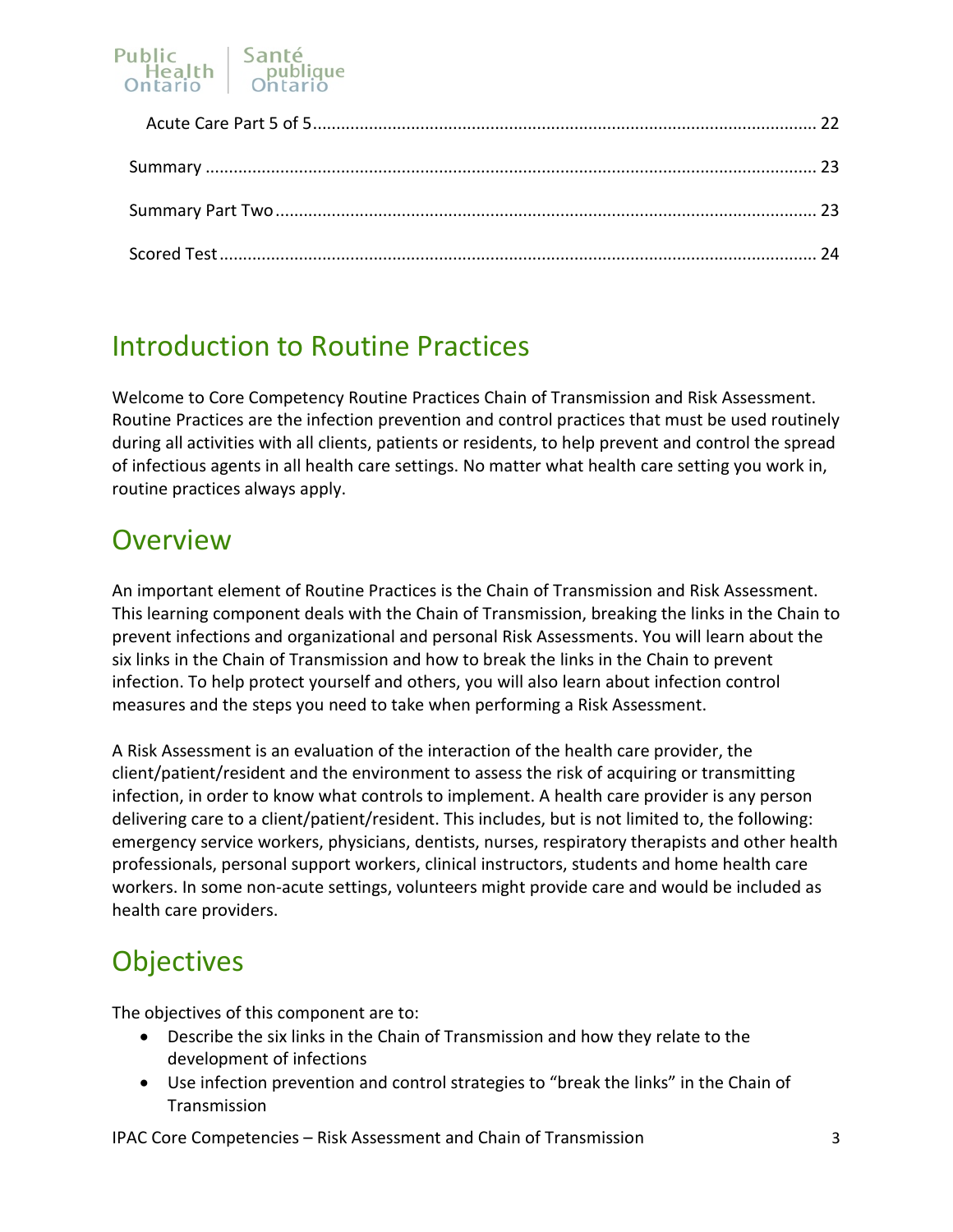

# <span id="page-2-0"></span>Introduction to Routine Practices

Welcome to Core Competency Routine Practices Chain of Transmission and Risk Assessment. Routine Practices are the infection prevention and control practices that must be used routinely during all activities with all clients, patients or residents, to help prevent and control the spread of infectious agents in all health care settings. No matter what health care setting you work in, routine practices always apply.

## <span id="page-2-1"></span>**Overview**

An important element of Routine Practices is the Chain of Transmission and Risk Assessment. This learning component deals with the Chain of Transmission, breaking the links in the Chain to prevent infections and organizational and personal Risk Assessments. You will learn about the six links in the Chain of Transmission and how to break the links in the Chain to prevent infection. To help protect yourself and others, you will also learn about infection control measures and the steps you need to take when performing a Risk Assessment.

A Risk Assessment is an evaluation of the interaction of the health care provider, the client/patient/resident and the environment to assess the risk of acquiring or transmitting infection, in order to know what controls to implement. A health care provider is any person delivering care to a client/patient/resident. This includes, but is not limited to, the following: emergency service workers, physicians, dentists, nurses, respiratory therapists and other health professionals, personal support workers, clinical instructors, students and home health care workers. In some non-acute settings, volunteers might provide care and would be included as health care providers.

# <span id="page-2-2"></span>**Objectives**

The objectives of this component are to:

- Describe the six links in the Chain of Transmission and how they relate to the development of infections
- Use infection prevention and control strategies to "break the links" in the Chain of **Transmission**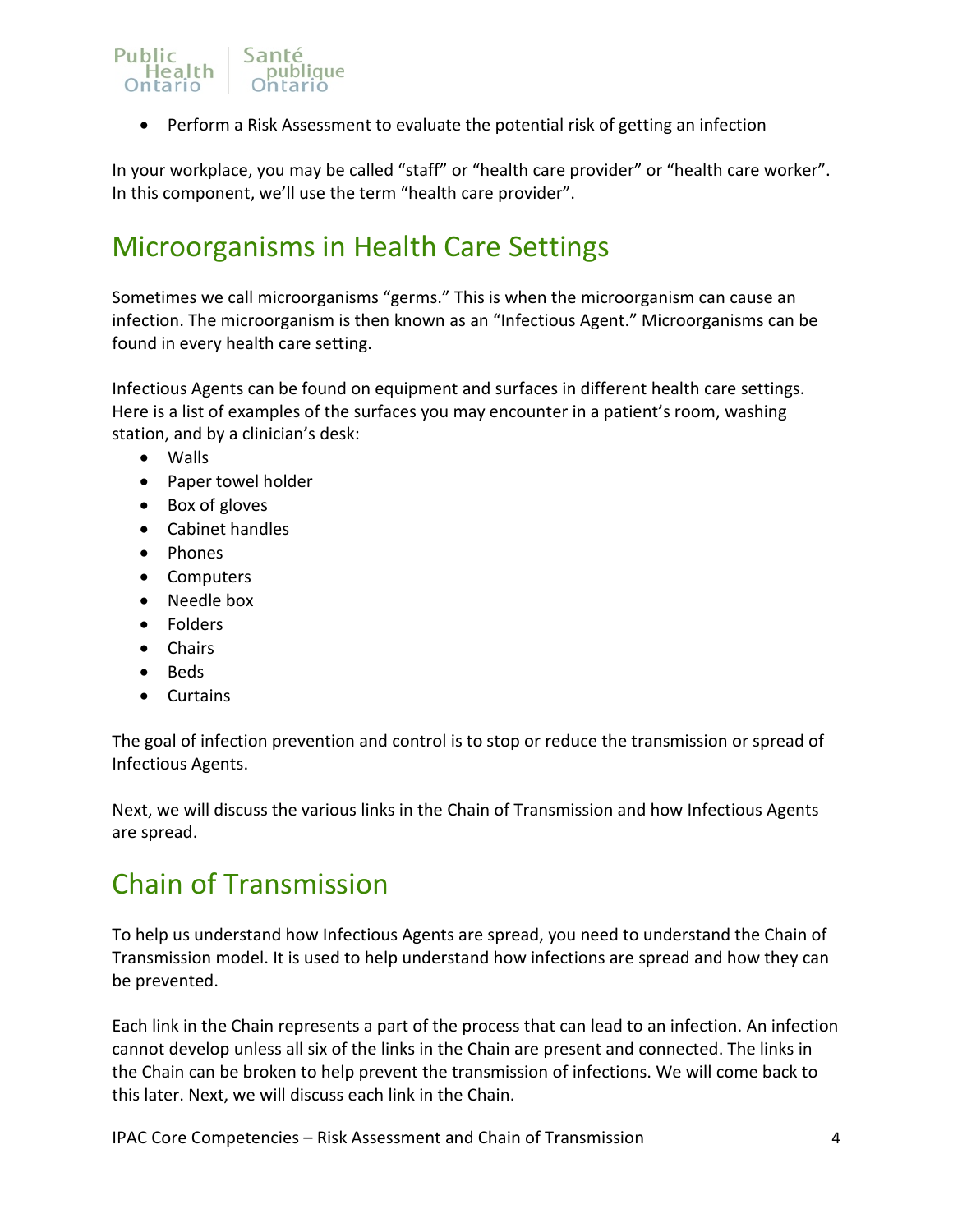### Public Santé Health publique

• Perform a Risk Assessment to evaluate the potential risk of getting an infection

In your workplace, you may be called "staff" or "health care provider" or "health care worker". In this component, we'll use the term "health care provider".

# <span id="page-3-0"></span>Microorganisms in Health Care Settings

Sometimes we call microorganisms "germs." This is when the microorganism can cause an infection. The microorganism is then known as an "Infectious Agent." Microorganisms can be found in every health care setting.

Infectious Agents can be found on equipment and surfaces in different health care settings. Here is a list of examples of the surfaces you may encounter in a patient's room, washing station, and by a clinician's desk:

- Walls
- Paper towel holder
- Box of gloves
- Cabinet handles
- Phones
- Computers
- Needle box
- Folders
- Chairs
- Beds
- Curtains

The goal of infection prevention and control is to stop or reduce the transmission or spread of Infectious Agents.

Next, we will discuss the various links in the Chain of Transmission and how Infectious Agents are spread.

# <span id="page-3-1"></span>Chain of Transmission

To help us understand how Infectious Agents are spread, you need to understand the Chain of Transmission model. It is used to help understand how infections are spread and how they can be prevented.

Each link in the Chain represents a part of the process that can lead to an infection. An infection cannot develop unless all six of the links in the Chain are present and connected. The links in the Chain can be broken to help prevent the transmission of infections. We will come back to this later. Next, we will discuss each link in the Chain.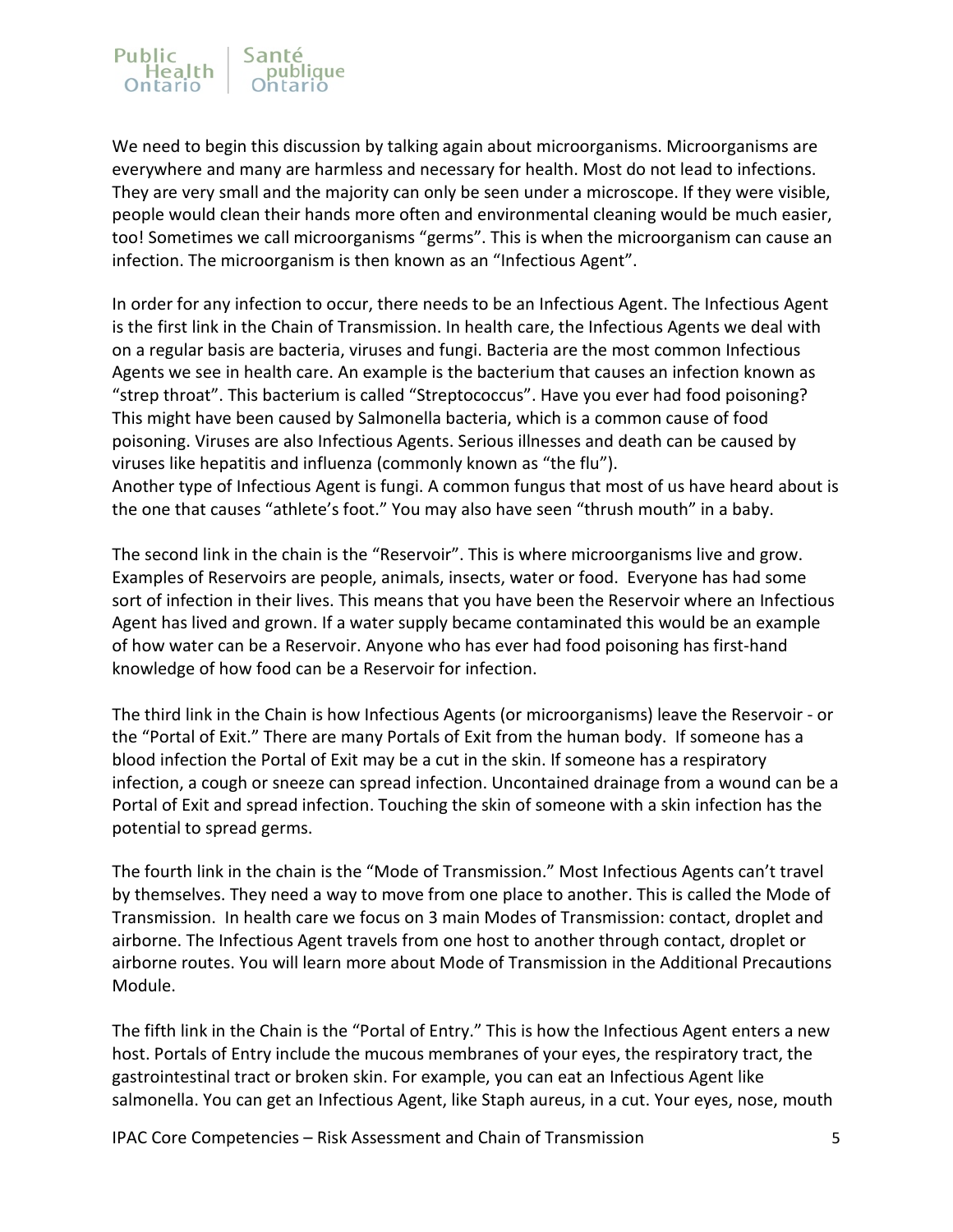#### Public Santé Health publique

We need to begin this discussion by talking again about microorganisms. Microorganisms are everywhere and many are harmless and necessary for health. Most do not lead to infections. They are very small and the majority can only be seen under a microscope. If they were visible, people would clean their hands more often and environmental cleaning would be much easier, too! Sometimes we call microorganisms "germs". This is when the microorganism can cause an infection. The microorganism is then known as an "Infectious Agent".

In order for any infection to occur, there needs to be an Infectious Agent. The Infectious Agent is the first link in the Chain of Transmission. In health care, the Infectious Agents we deal with on a regular basis are bacteria, viruses and fungi. Bacteria are the most common Infectious Agents we see in health care. An example is the bacterium that causes an infection known as "strep throat". This bacterium is called "Streptococcus". Have you ever had food poisoning? This might have been caused by Salmonella bacteria, which is a common cause of food poisoning. Viruses are also Infectious Agents. Serious illnesses and death can be caused by viruses like hepatitis and influenza (commonly known as "the flu"). Another type of Infectious Agent is fungi. A common fungus that most of us have heard about is the one that causes "athlete's foot." You may also have seen "thrush mouth" in a baby.

The second link in the chain is the "Reservoir". This is where microorganisms live and grow. Examples of Reservoirs are people, animals, insects, water or food. Everyone has had some sort of infection in their lives. This means that you have been the Reservoir where an Infectious Agent has lived and grown. If a water supply became contaminated this would be an example of how water can be a Reservoir. Anyone who has ever had food poisoning has first-hand knowledge of how food can be a Reservoir for infection.

The third link in the Chain is how Infectious Agents (or microorganisms) leave the Reservoir - or the "Portal of Exit." There are many Portals of Exit from the human body. If someone has a blood infection the Portal of Exit may be a cut in the skin. If someone has a respiratory infection, a cough or sneeze can spread infection. Uncontained drainage from a wound can be a Portal of Exit and spread infection. Touching the skin of someone with a skin infection has the potential to spread germs.

The fourth link in the chain is the "Mode of Transmission." Most Infectious Agents can't travel by themselves. They need a way to move from one place to another. This is called the Mode of Transmission. In health care we focus on 3 main Modes of Transmission: contact, droplet and airborne. The Infectious Agent travels from one host to another through contact, droplet or airborne routes. You will learn more about Mode of Transmission in the Additional Precautions Module.

The fifth link in the Chain is the "Portal of Entry." This is how the Infectious Agent enters a new host. Portals of Entry include the mucous membranes of your eyes, the respiratory tract, the gastrointestinal tract or broken skin. For example, you can eat an Infectious Agent like salmonella. You can get an Infectious Agent, like Staph aureus, in a cut. Your eyes, nose, mouth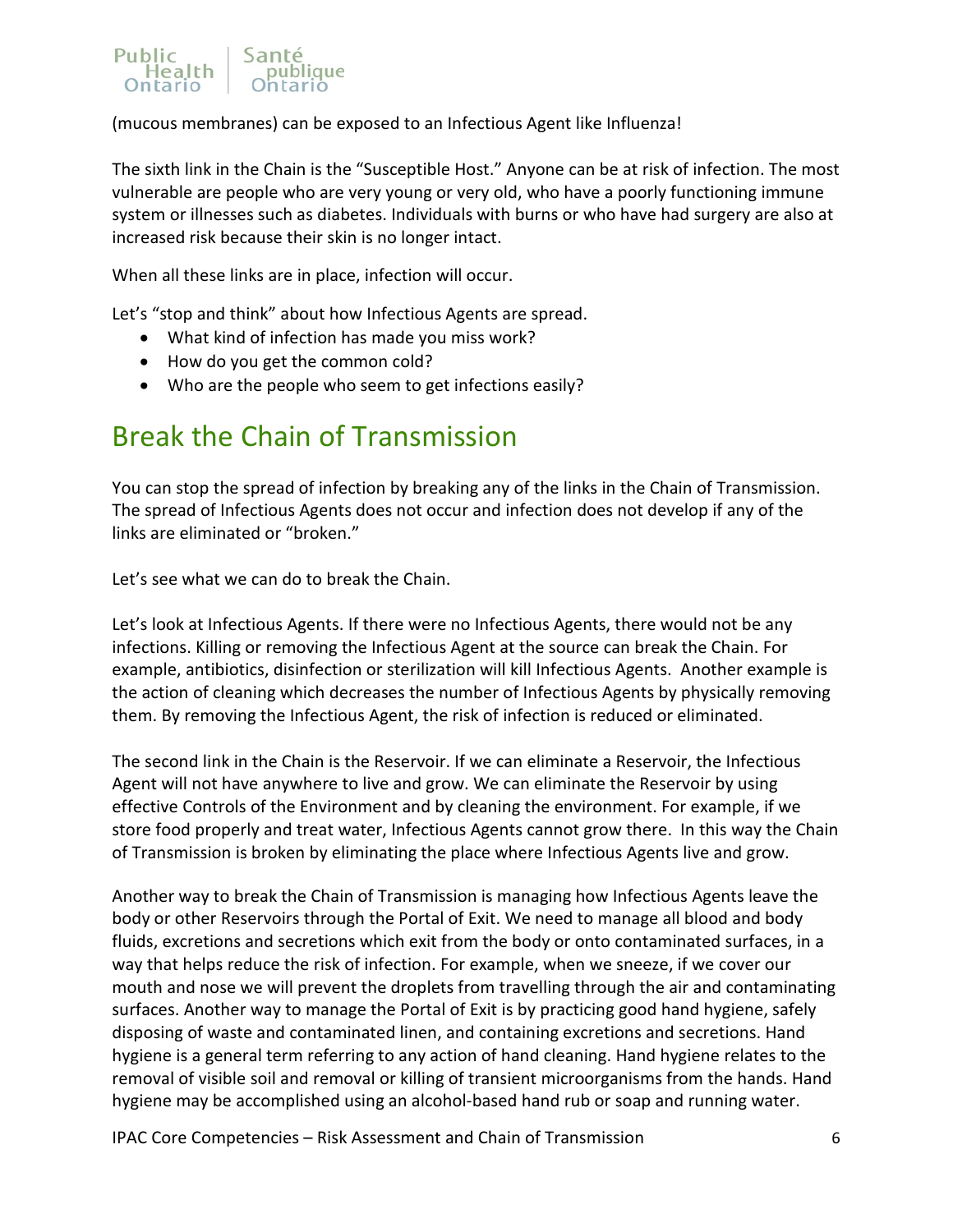

(mucous membranes) can be exposed to an Infectious Agent like Influenza!

The sixth link in the Chain is the "Susceptible Host." Anyone can be at risk of infection. The most vulnerable are people who are very young or very old, who have a poorly functioning immune system or illnesses such as diabetes. Individuals with burns or who have had surgery are also at increased risk because their skin is no longer intact.

When all these links are in place, infection will occur.

Let's "stop and think" about how Infectious Agents are spread.

- What kind of infection has made you miss work?
- How do you get the common cold?
- Who are the people who seem to get infections easily?

# <span id="page-5-0"></span>Break the Chain of Transmission

You can stop the spread of infection by breaking any of the links in the Chain of Transmission. The spread of Infectious Agents does not occur and infection does not develop if any of the links are eliminated or "broken."

Let's see what we can do to break the Chain.

Let's look at Infectious Agents. If there were no Infectious Agents, there would not be any infections. Killing or removing the Infectious Agent at the source can break the Chain. For example, antibiotics, disinfection or sterilization will kill Infectious Agents. Another example is the action of cleaning which decreases the number of Infectious Agents by physically removing them. By removing the Infectious Agent, the risk of infection is reduced or eliminated.

The second link in the Chain is the Reservoir. If we can eliminate a Reservoir, the Infectious Agent will not have anywhere to live and grow. We can eliminate the Reservoir by using effective Controls of the Environment and by cleaning the environment. For example, if we store food properly and treat water, Infectious Agents cannot grow there. In this way the Chain of Transmission is broken by eliminating the place where Infectious Agents live and grow.

Another way to break the Chain of Transmission is managing how Infectious Agents leave the body or other Reservoirs through the Portal of Exit. We need to manage all blood and body fluids, excretions and secretions which exit from the body or onto contaminated surfaces, in a way that helps reduce the risk of infection. For example, when we sneeze, if we cover our mouth and nose we will prevent the droplets from travelling through the air and contaminating surfaces. Another way to manage the Portal of Exit is by practicing good hand hygiene, safely disposing of waste and contaminated linen, and containing excretions and secretions. Hand hygiene is a general term referring to any action of hand cleaning. Hand hygiene relates to the removal of visible soil and removal or killing of transient microorganisms from the hands. Hand hygiene may be accomplished using an alcohol-based hand rub or soap and running water.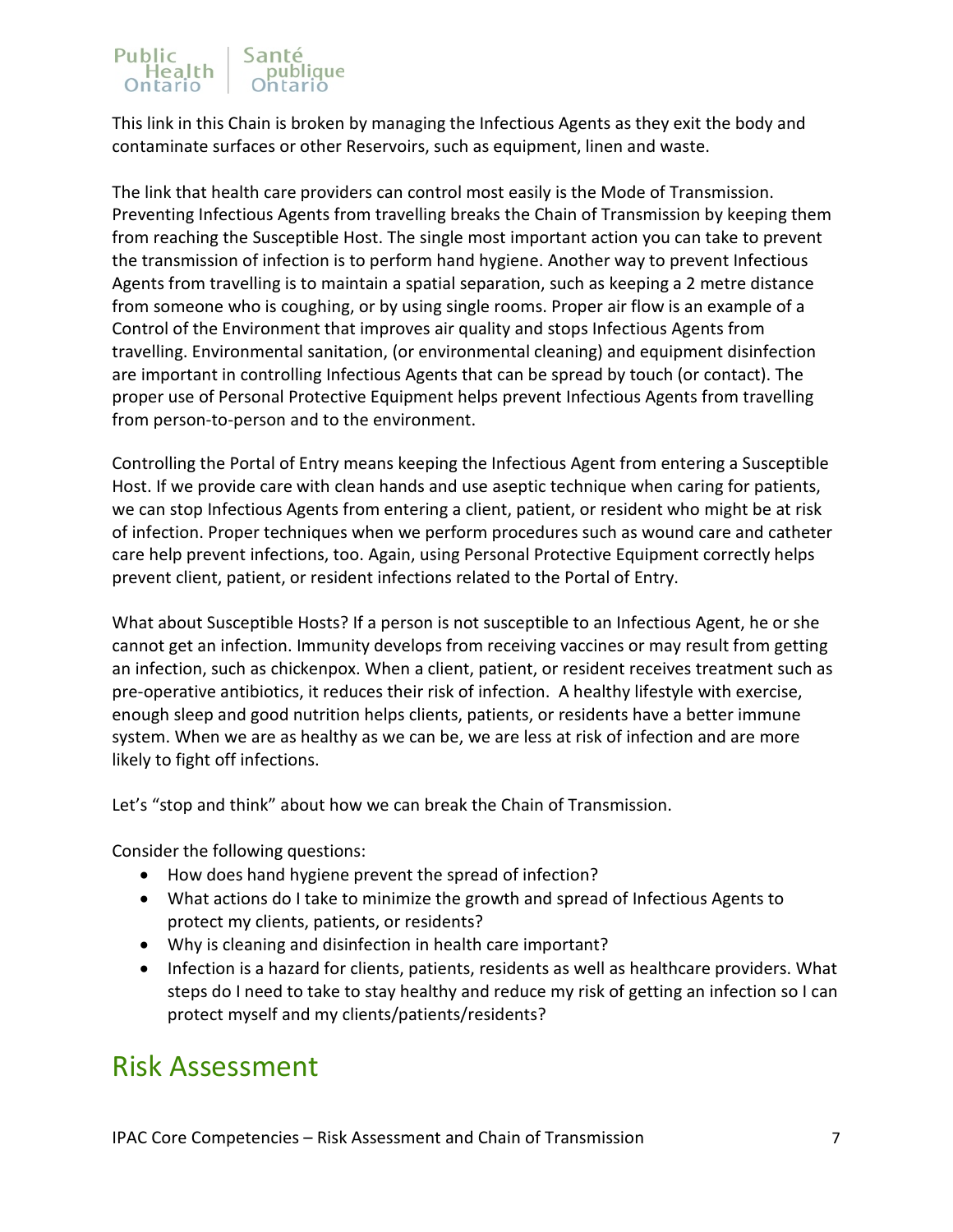#### Public Santé Health publique

This link in this Chain is broken by managing the Infectious Agents as they exit the body and contaminate surfaces or other Reservoirs, such as equipment, linen and waste.

The link that health care providers can control most easily is the Mode of Transmission. Preventing Infectious Agents from travelling breaks the Chain of Transmission by keeping them from reaching the Susceptible Host. The single most important action you can take to prevent the transmission of infection is to perform hand hygiene. Another way to prevent Infectious Agents from travelling is to maintain a spatial separation, such as keeping a 2 metre distance from someone who is coughing, or by using single rooms. Proper air flow is an example of a Control of the Environment that improves air quality and stops Infectious Agents from travelling. Environmental sanitation, (or environmental cleaning) and equipment disinfection are important in controlling Infectious Agents that can be spread by touch (or contact). The proper use of Personal Protective Equipment helps prevent Infectious Agents from travelling from person-to-person and to the environment.

Controlling the Portal of Entry means keeping the Infectious Agent from entering a Susceptible Host. If we provide care with clean hands and use aseptic technique when caring for patients, we can stop Infectious Agents from entering a client, patient, or resident who might be at risk of infection. Proper techniques when we perform procedures such as wound care and catheter care help prevent infections, too. Again, using Personal Protective Equipment correctly helps prevent client, patient, or resident infections related to the Portal of Entry.

What about Susceptible Hosts? If a person is not susceptible to an Infectious Agent, he or she cannot get an infection. Immunity develops from receiving vaccines or may result from getting an infection, such as chickenpox. When a client, patient, or resident receives treatment such as pre-operative antibiotics, it reduces their risk of infection. A healthy lifestyle with exercise, enough sleep and good nutrition helps clients, patients, or residents have a better immune system. When we are as healthy as we can be, we are less at risk of infection and are more likely to fight off infections.

Let's "stop and think" about how we can break the Chain of Transmission.

Consider the following questions:

- How does hand hygiene prevent the spread of infection?
- What actions do I take to minimize the growth and spread of Infectious Agents to protect my clients, patients, or residents?
- Why is cleaning and disinfection in health care important?
- Infection is a hazard for clients, patients, residents as well as healthcare providers. What steps do I need to take to stay healthy and reduce my risk of getting an infection so I can protect myself and my clients/patients/residents?

# <span id="page-6-0"></span>Risk Assessment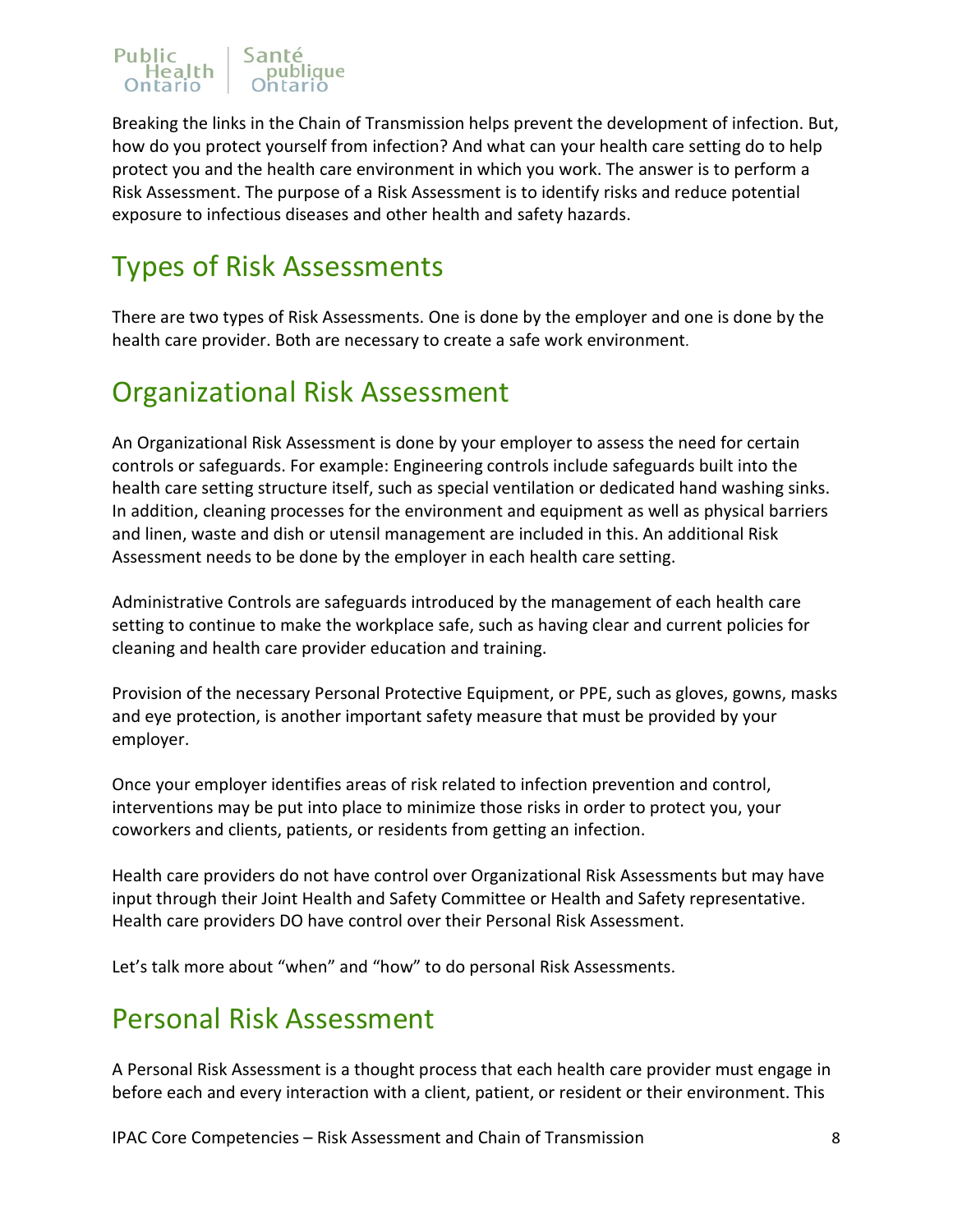### Sant Public<br>Realth

Breaking the links in the Chain of Transmission helps prevent the development of infection. But, how do you protect yourself from infection? And what can your health care setting do to help protect you and the health care environment in which you work. The answer is to perform a Risk Assessment. The purpose of a Risk Assessment is to identify risks and reduce potential exposure to infectious diseases and other health and safety hazards.

# <span id="page-7-0"></span>Types of Risk Assessments

There are two types of Risk Assessments. One is done by the employer and one is done by the health care provider. Both are necessary to create a safe work environment.

# <span id="page-7-1"></span>Organizational Risk Assessment

An Organizational Risk Assessment is done by your employer to assess the need for certain controls or safeguards. For example: Engineering controls include safeguards built into the health care setting structure itself, such as special ventilation or dedicated hand washing sinks. In addition, cleaning processes for the environment and equipment as well as physical barriers and linen, waste and dish or utensil management are included in this. An additional Risk Assessment needs to be done by the employer in each health care setting.

Administrative Controls are safeguards introduced by the management of each health care setting to continue to make the workplace safe, such as having clear and current policies for cleaning and health care provider education and training.

Provision of the necessary Personal Protective Equipment, or PPE, such as gloves, gowns, masks and eye protection, is another important safety measure that must be provided by your employer.

Once your employer identifies areas of risk related to infection prevention and control, interventions may be put into place to minimize those risks in order to protect you, your coworkers and clients, patients, or residents from getting an infection.

Health care providers do not have control over Organizational Risk Assessments but may have input through their Joint Health and Safety Committee or Health and Safety representative. Health care providers DO have control over their Personal Risk Assessment.

Let's talk more about "when" and "how" to do personal Risk Assessments.

# <span id="page-7-2"></span>Personal Risk Assessment

A Personal Risk Assessment is a thought process that each health care provider must engage in before each and every interaction with a client, patient, or resident or their environment. This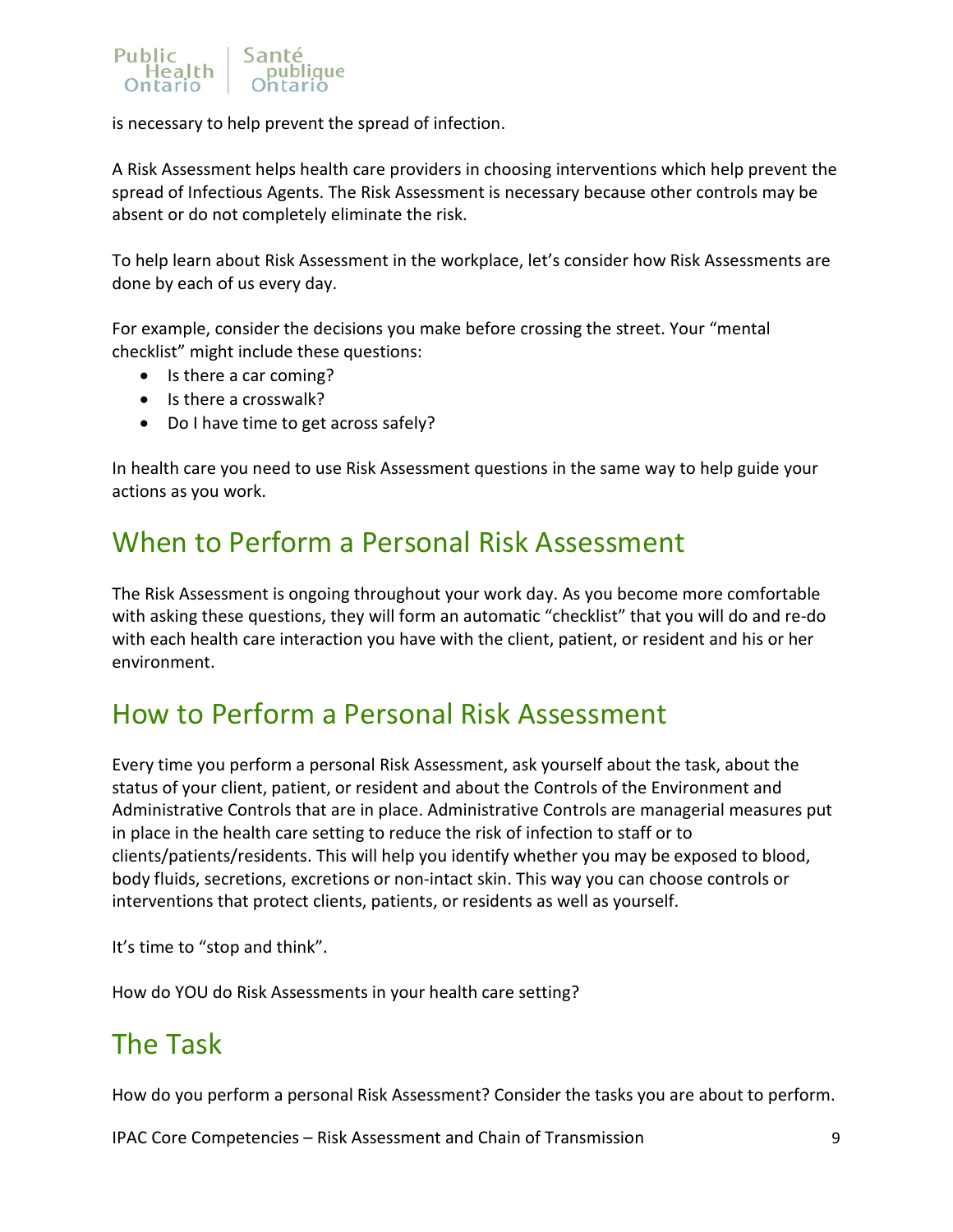

is necessary to help prevent the spread of infection.

A Risk Assessment helps health care providers in choosing interventions which help prevent the spread of Infectious Agents. The Risk Assessment is necessary because other controls may be absent or do not completely eliminate the risk.

To help learn about Risk Assessment in the workplace, let's consider how Risk Assessments are done by each of us every day.

For example, consider the decisions you make before crossing the street. Your "mental checklist" might include these questions:

- Is there a car coming?
- Is there a crosswalk?
- Do I have time to get across safely?

In health care you need to use Risk Assessment questions in the same way to help guide your actions as you work.

# <span id="page-8-0"></span>When to Perform a Personal Risk Assessment

The Risk Assessment is ongoing throughout your work day. As you become more comfortable with asking these questions, they will form an automatic "checklist" that you will do and re-do with each health care interaction you have with the client, patient, or resident and his or her environment.

# <span id="page-8-1"></span>How to Perform a Personal Risk Assessment

Every time you perform a personal Risk Assessment, ask yourself about the task, about the status of your client, patient, or resident and about the Controls of the Environment and Administrative Controls that are in place. Administrative Controls are managerial measures put in place in the health care setting to reduce the risk of infection to staff or to clients/patients/residents. This will help you identify whether you may be exposed to blood, body fluids, secretions, excretions or non-intact skin. This way you can choose controls or interventions that protect clients, patients, or residents as well as yourself.

It's time to "stop and think".

How do YOU do Risk Assessments in your health care setting?

# <span id="page-8-2"></span>The Task

How do you perform a personal Risk Assessment? Consider the tasks you are about to perform.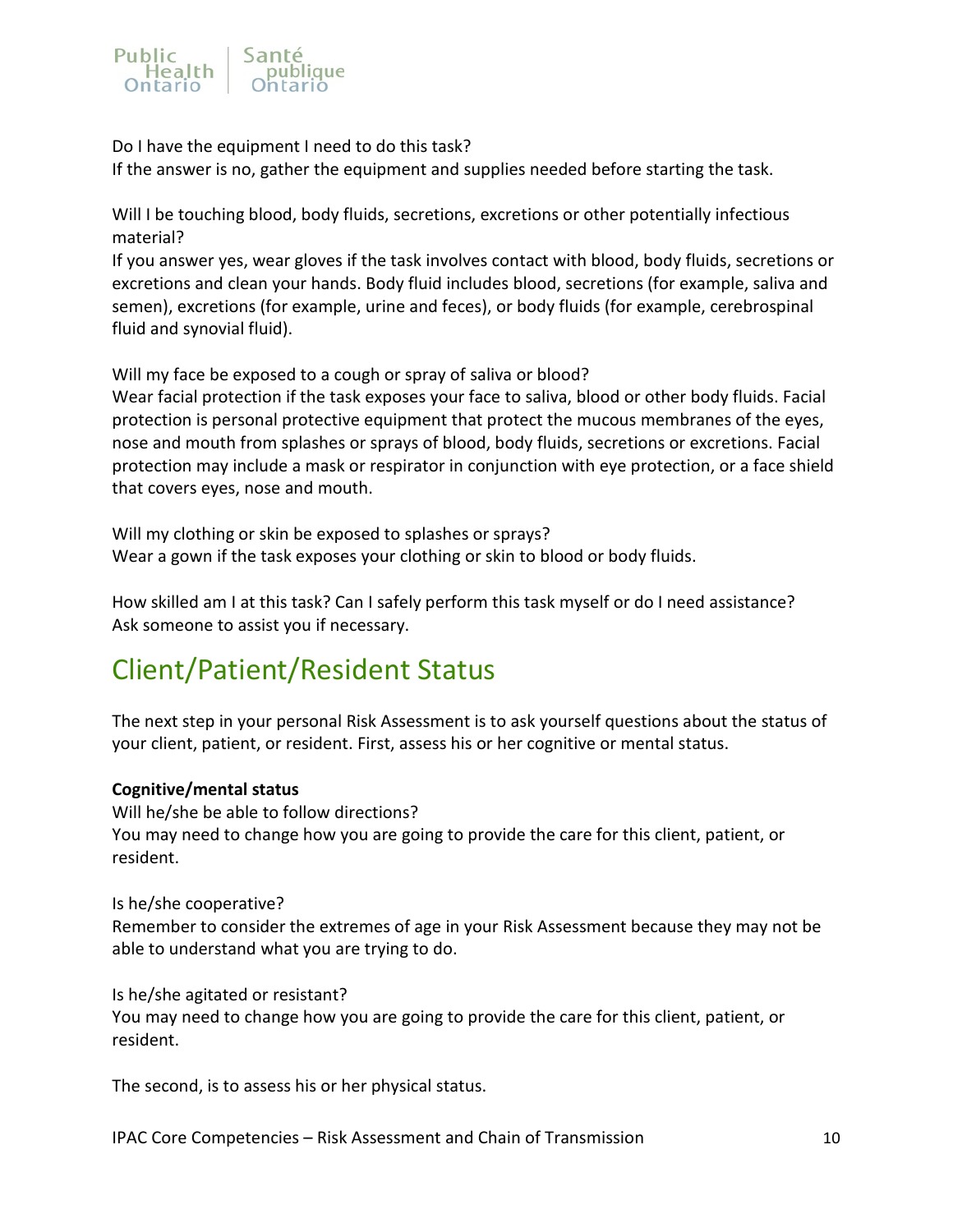

Do I have the equipment I need to do this task?

If the answer is no, gather the equipment and supplies needed before starting the task.

Will I be touching blood, body fluids, secretions, excretions or other potentially infectious material?

If you answer yes, wear gloves if the task involves contact with blood, body fluids, secretions or excretions and clean your hands. Body fluid includes blood, secretions (for example, saliva and semen), excretions (for example, urine and feces), or body fluids (for example, cerebrospinal fluid and synovial fluid).

Will my face be exposed to a cough or spray of saliva or blood?

Wear facial protection if the task exposes your face to saliva, blood or other body fluids. Facial protection is personal protective equipment that protect the mucous membranes of the eyes, nose and mouth from splashes or sprays of blood, body fluids, secretions or excretions. Facial protection may include a mask or respirator in conjunction with eye protection, or a face shield that covers eyes, nose and mouth.

Will my clothing or skin be exposed to splashes or sprays? Wear a gown if the task exposes your clothing or skin to blood or body fluids.

How skilled am I at this task? Can I safely perform this task myself or do I need assistance? Ask someone to assist you if necessary.

# <span id="page-9-0"></span>Client/Patient/Resident Status

The next step in your personal Risk Assessment is to ask yourself questions about the status of your client, patient, or resident. First, assess his or her cognitive or mental status.

### **Cognitive/mental status**

Will he/she be able to follow directions? You may need to change how you are going to provide the care for this client, patient, or resident.

### Is he/she cooperative?

Remember to consider the extremes of age in your Risk Assessment because they may not be able to understand what you are trying to do.

Is he/she agitated or resistant?

You may need to change how you are going to provide the care for this client, patient, or resident.

The second, is to assess his or her physical status.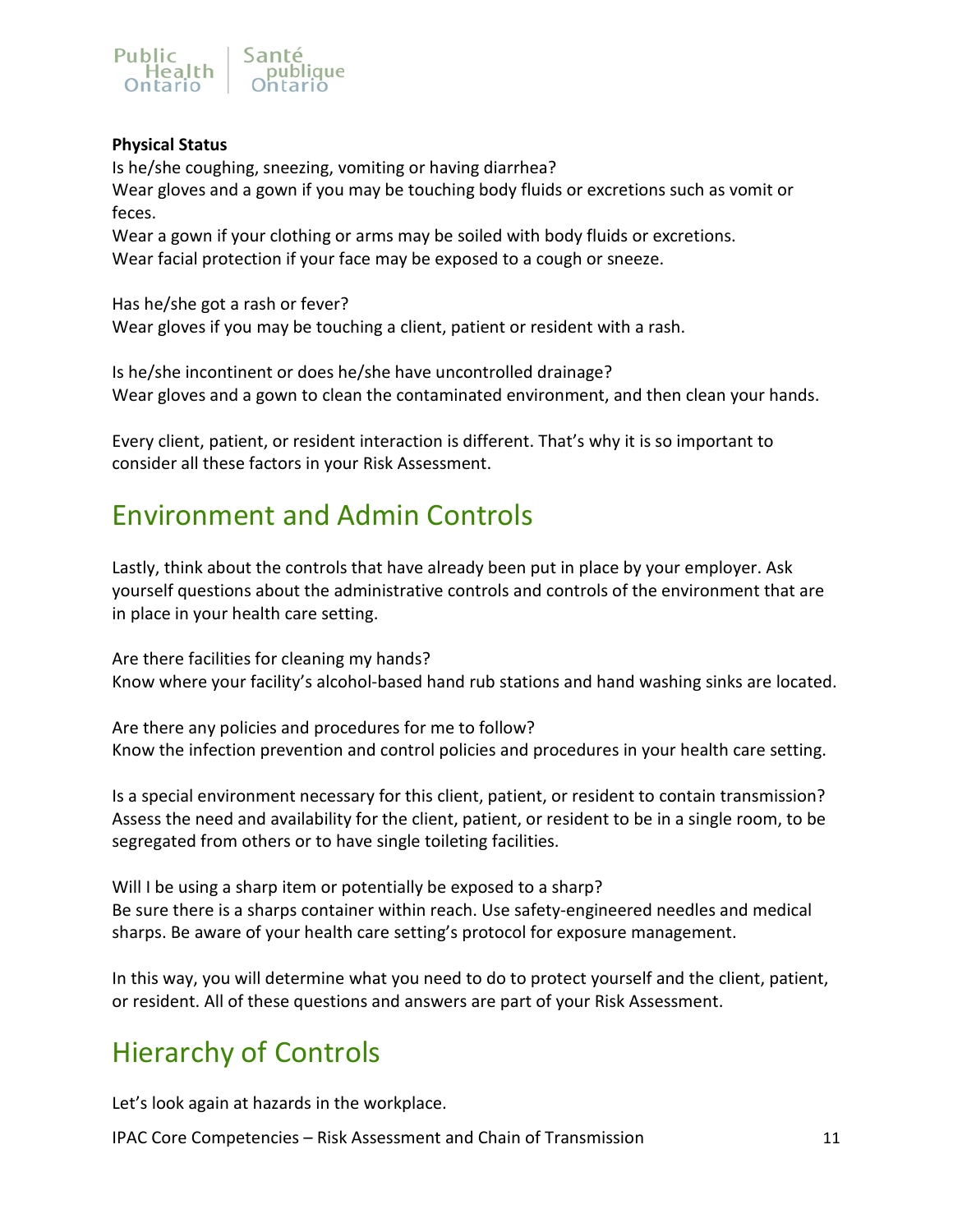

### **Physical Status**

Is he/she coughing, sneezing, vomiting or having diarrhea? Wear gloves and a gown if you may be touching body fluids or excretions such as vomit or feces.

Wear a gown if your clothing or arms may be soiled with body fluids or excretions. Wear facial protection if your face may be exposed to a cough or sneeze.

Has he/she got a rash or fever? Wear gloves if you may be touching a client, patient or resident with a rash.

Is he/she incontinent or does he/she have uncontrolled drainage? Wear gloves and a gown to clean the contaminated environment, and then clean your hands.

Every client, patient, or resident interaction is different. That's why it is so important to consider all these factors in your Risk Assessment.

# <span id="page-10-0"></span>Environment and Admin Controls

Lastly, think about the controls that have already been put in place by your employer. Ask yourself questions about the administrative controls and controls of the environment that are in place in your health care setting.

Are there facilities for cleaning my hands? Know where your facility's alcohol-based hand rub stations and hand washing sinks are located.

Are there any policies and procedures for me to follow? Know the infection prevention and control policies and procedures in your health care setting.

Is a special environment necessary for this client, patient, or resident to contain transmission? Assess the need and availability for the client, patient, or resident to be in a single room, to be segregated from others or to have single toileting facilities.

Will I be using a sharp item or potentially be exposed to a sharp? Be sure there is a sharps container within reach. Use safety-engineered needles and medical sharps. Be aware of your health care setting's protocol for exposure management.

In this way, you will determine what you need to do to protect yourself and the client, patient, or resident. All of these questions and answers are part of your Risk Assessment.

# <span id="page-10-1"></span>Hierarchy of Controls

Let's look again at hazards in the workplace.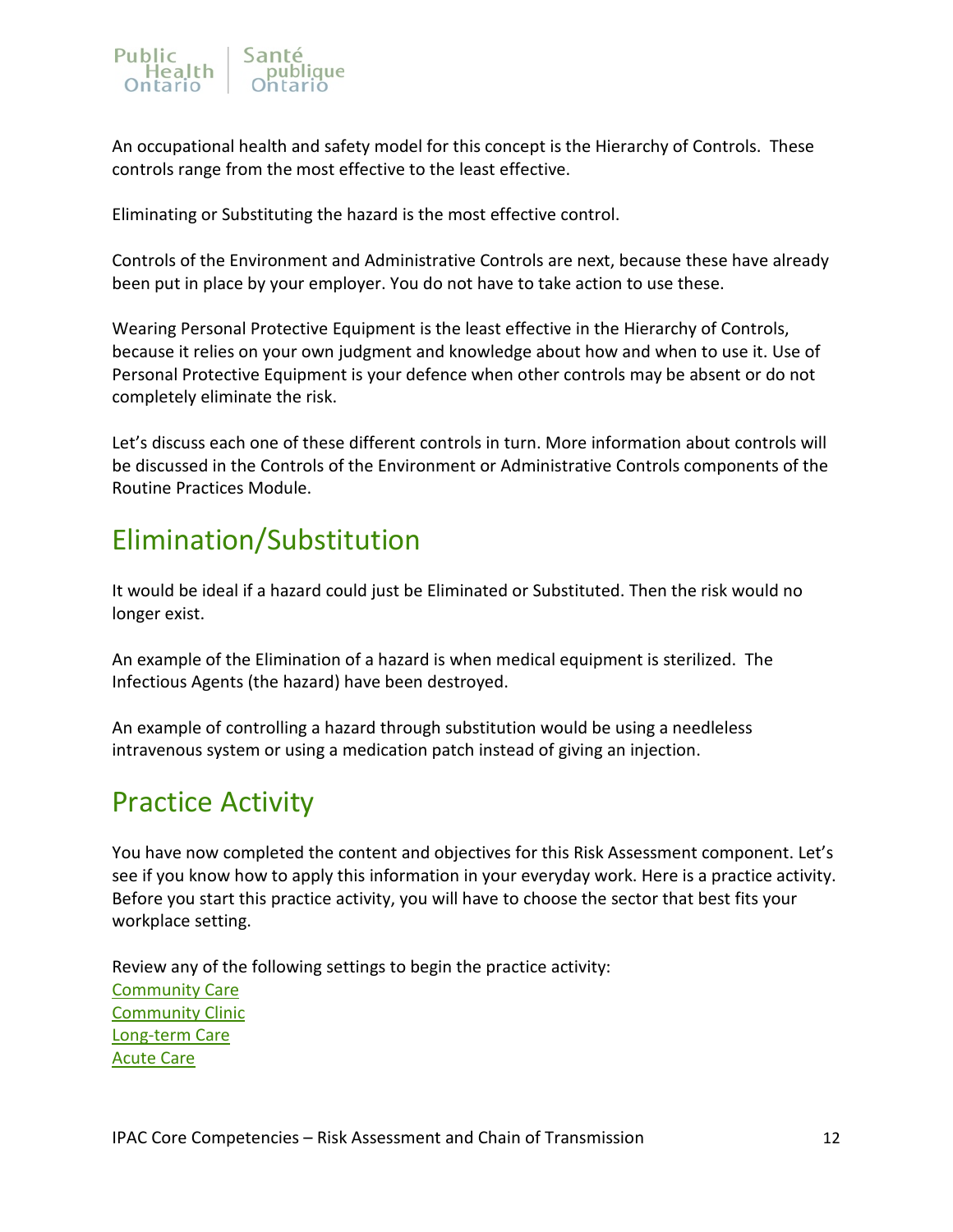

An occupational health and safety model for this concept is the Hierarchy of Controls. These controls range from the most effective to the least effective.

Eliminating or Substituting the hazard is the most effective control.

Controls of the Environment and Administrative Controls are next, because these have already been put in place by your employer. You do not have to take action to use these.

Wearing Personal Protective Equipment is the least effective in the Hierarchy of Controls, because it relies on your own judgment and knowledge about how and when to use it. Use of Personal Protective Equipment is your defence when other controls may be absent or do not completely eliminate the risk.

Let's discuss each one of these different controls in turn. More information about controls will be discussed in the Controls of the Environment or Administrative Controls components of the Routine Practices Module.

# <span id="page-11-0"></span>Elimination/Substitution

It would be ideal if a hazard could just be Eliminated or Substituted. Then the risk would no longer exist.

An example of the Elimination of a hazard is when medical equipment is sterilized. The Infectious Agents (the hazard) have been destroyed.

An example of controlling a hazard through substitution would be using a needleless intravenous system or using a medication patch instead of giving an injection.

# <span id="page-11-1"></span>Practice Activity

You have now completed the content and objectives for this Risk Assessment component. Let's see if you know how to apply this information in your everyday work. Here is a practice activity. Before you start this practice activity, you will have to choose the sector that best fits your workplace setting.

Review any of the following settings to begin the practice activity: [Community Care](#page-12-0)  [Community Clinic](#page-14-0) [Long-term Care](#page-16-1) [Acute Care](#page-19-0)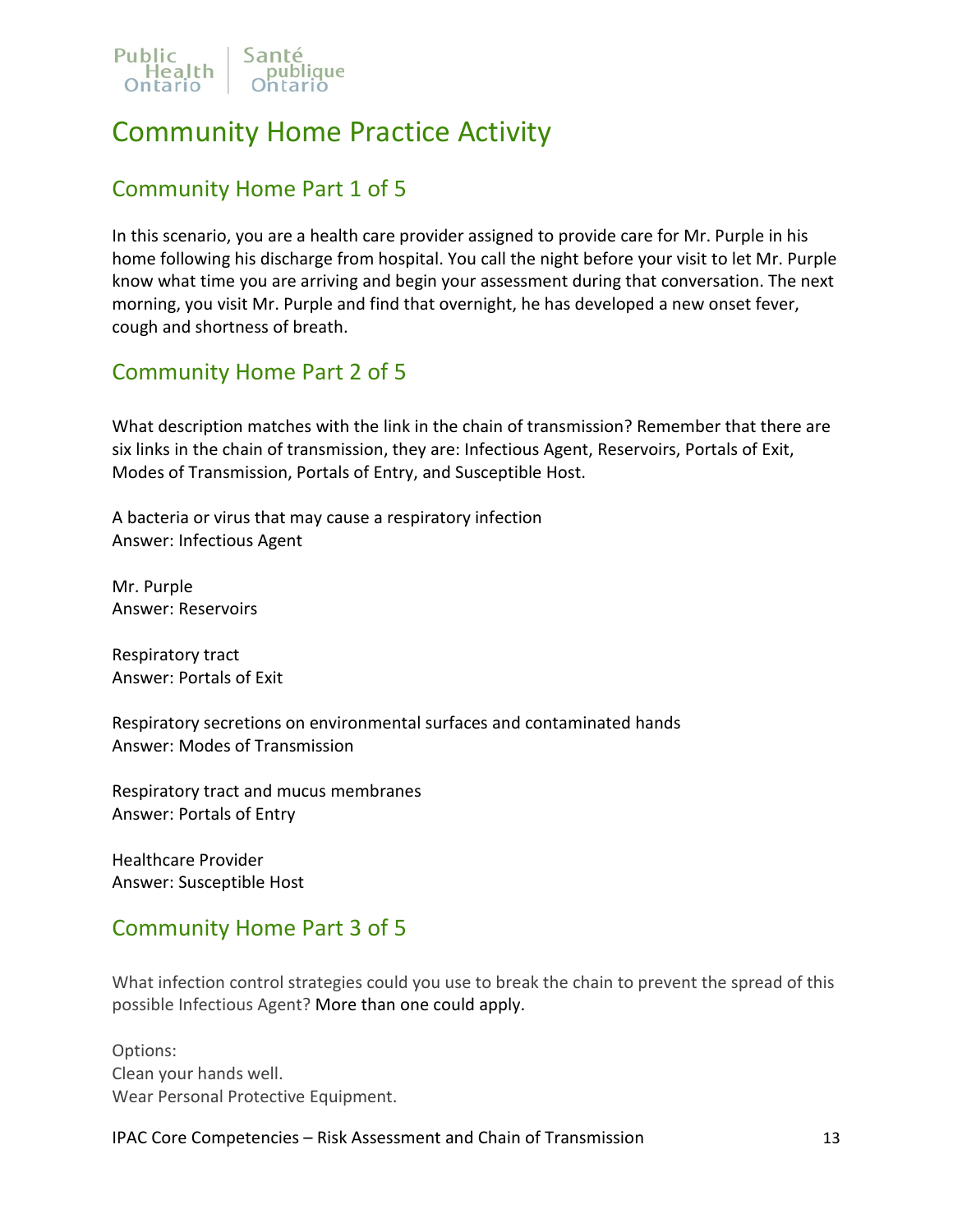

# <span id="page-12-0"></span>Community Home Practice Activity

### <span id="page-12-1"></span>Community Home Part 1 of 5

In this scenario, you are a health care provider assigned to provide care for Mr. Purple in his home following his discharge from hospital. You call the night before your visit to let Mr. Purple know what time you are arriving and begin your assessment during that conversation. The next morning, you visit Mr. Purple and find that overnight, he has developed a new onset fever, cough and shortness of breath.

### <span id="page-12-2"></span>Community Home Part 2 of 5

What description matches with the link in the chain of transmission? Remember that there are six links in the chain of transmission, they are: Infectious Agent, Reservoirs, Portals of Exit, Modes of Transmission, Portals of Entry, and Susceptible Host.

A bacteria or virus that may cause a respiratory infection Answer: Infectious Agent

Mr. Purple Answer: Reservoirs

Respiratory tract Answer: Portals of Exit

Respiratory secretions on environmental surfaces and contaminated hands Answer: Modes of Transmission

Respiratory tract and mucus membranes Answer: Portals of Entry

Healthcare Provider Answer: Susceptible Host

### <span id="page-12-3"></span>Community Home Part 3 of 5

What infection control strategies could you use to break the chain to prevent the spread of this possible Infectious Agent? More than one could apply.

Options: Clean your hands well. Wear Personal Protective Equipment.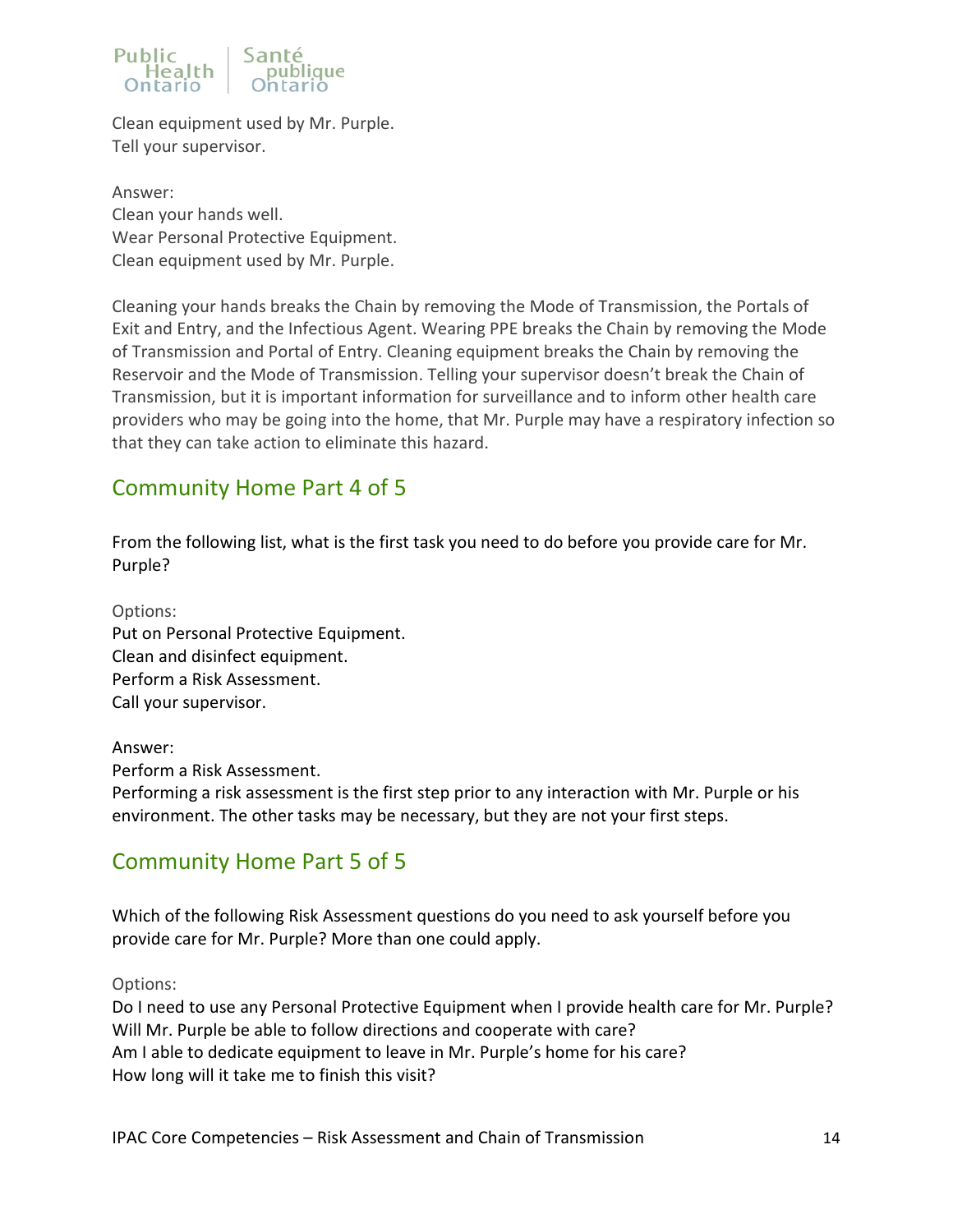### Public<br>Realth Santé publique

Clean equipment used by Mr. Purple. Tell your supervisor.

Answer: Clean your hands well. Wear Personal Protective Equipment. Clean equipment used by Mr. Purple.

Cleaning your hands breaks the Chain by removing the Mode of Transmission, the Portals of Exit and Entry, and the Infectious Agent. Wearing PPE breaks the Chain by removing the Mode of Transmission and Portal of Entry. Cleaning equipment breaks the Chain by removing the Reservoir and the Mode of Transmission. Telling your supervisor doesn't break the Chain of Transmission, but it is important information for surveillance and to inform other health care providers who may be going into the home, that Mr. Purple may have a respiratory infection so that they can take action to eliminate this hazard.

## <span id="page-13-0"></span>Community Home Part 4 of 5

From the following list, what is the first task you need to do before you provide care for Mr. Purple?

Options: Put on Personal Protective Equipment. Clean and disinfect equipment. Perform a Risk Assessment. Call your supervisor.

Answer: Perform a Risk Assessment. Performing a risk assessment is the first step prior to any interaction with Mr. Purple or his environment. The other tasks may be necessary, but they are not your first steps.

## <span id="page-13-1"></span>Community Home Part 5 of 5

Which of the following Risk Assessment questions do you need to ask yourself before you provide care for Mr. Purple? More than one could apply.

Options:

Do I need to use any Personal Protective Equipment when I provide health care for Mr. Purple? Will Mr. Purple be able to follow directions and cooperate with care? Am I able to dedicate equipment to leave in Mr. Purple's home for his care? How long will it take me to finish this visit?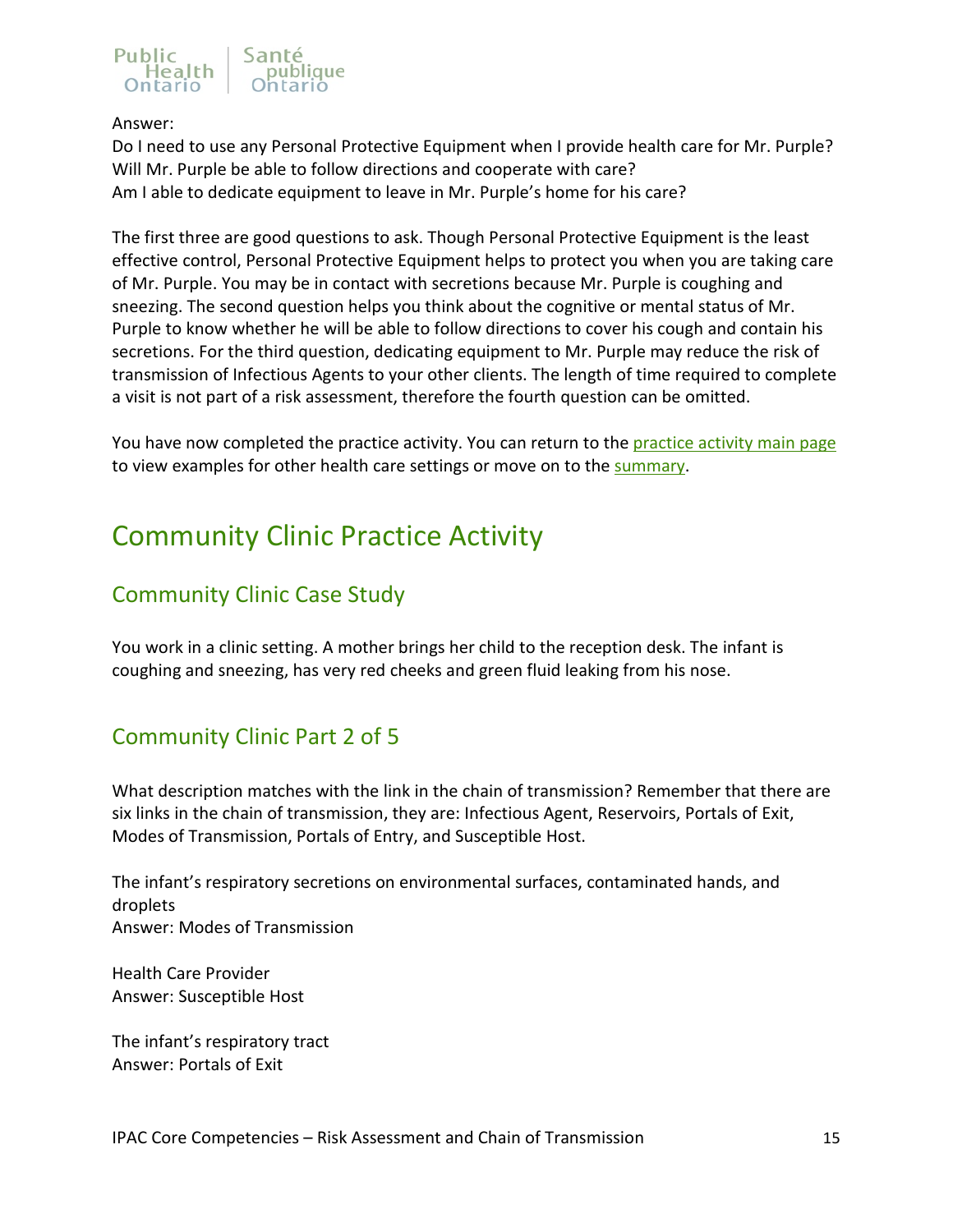# Public Sante<br>Realth pub

### Answer:

Do I need to use any Personal Protective Equipment when I provide health care for Mr. Purple? Will Mr. Purple be able to follow directions and cooperate with care? Am I able to dedicate equipment to leave in Mr. Purple's home for his care?

The first three are good questions to ask. Though Personal Protective Equipment is the least effective control, Personal Protective Equipment helps to protect you when you are taking care of Mr. Purple. You may be in contact with secretions because Mr. Purple is coughing and sneezing. The second question helps you think about the cognitive or mental status of Mr. Purple to know whether he will be able to follow directions to cover his cough and contain his secretions. For the third question, dedicating equipment to Mr. Purple may reduce the risk of transmission of Infectious Agents to your other clients. The length of time required to complete a visit is not part of a risk assessment, therefore the fourth question can be omitted.

You have now completed the practice activity. You can return to the [practice activity main page](#page-11-1) to view examples for other health care settings or move on to the [summary.](#page-22-0)

# <span id="page-14-0"></span>Community Clinic Practice Activity

### <span id="page-14-1"></span>Community Clinic Case Study

You work in a clinic setting. A mother brings her child to the reception desk. The infant is coughing and sneezing, has very red cheeks and green fluid leaking from his nose.

## <span id="page-14-2"></span>Community Clinic Part 2 of 5

What description matches with the link in the chain of transmission? Remember that there are six links in the chain of transmission, they are: Infectious Agent, Reservoirs, Portals of Exit, Modes of Transmission, Portals of Entry, and Susceptible Host.

The infant's respiratory secretions on environmental surfaces, contaminated hands, and droplets Answer: Modes of Transmission

Health Care Provider Answer: Susceptible Host

The infant's respiratory tract Answer: Portals of Exit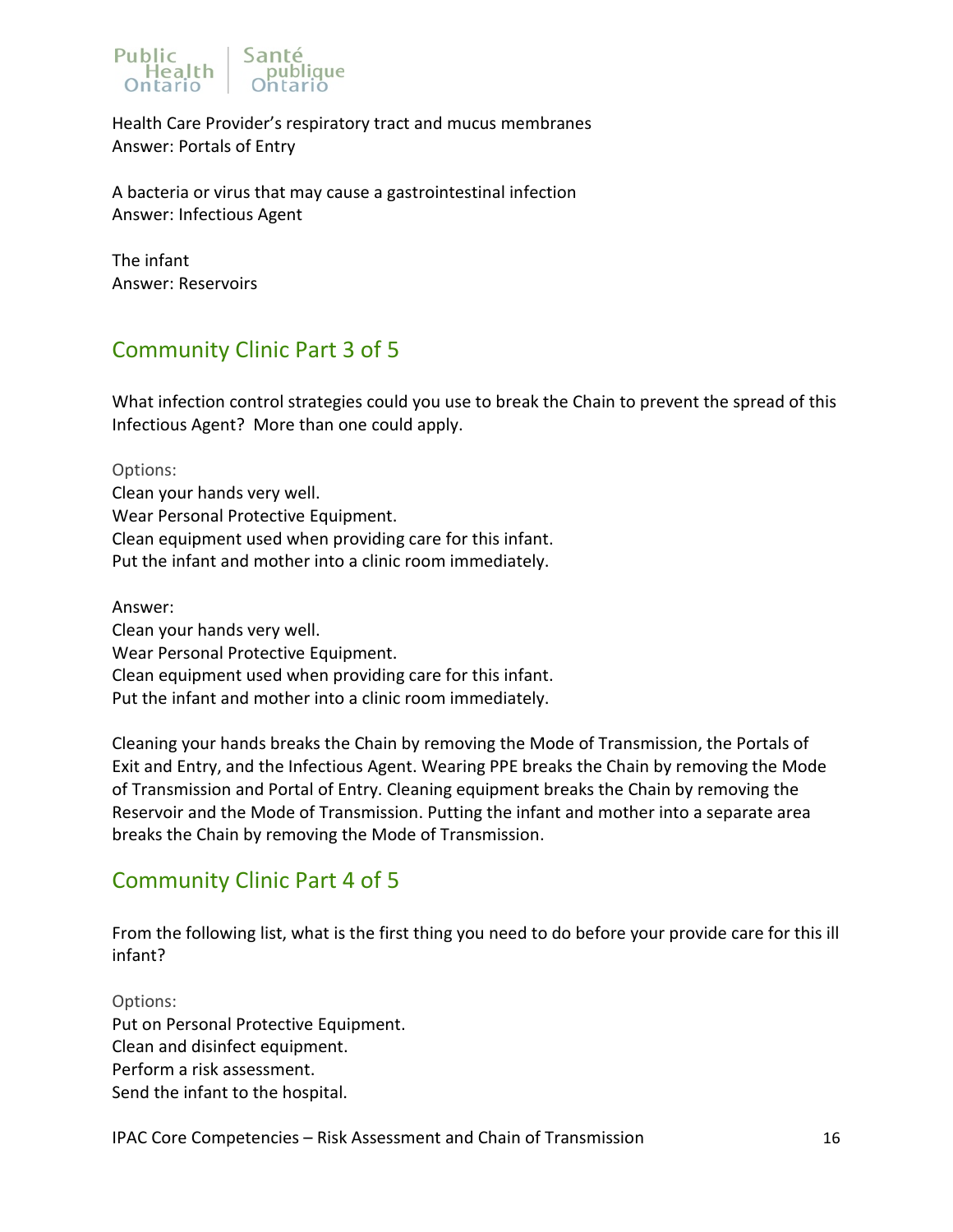

Health Care Provider's respiratory tract and mucus membranes Answer: Portals of Entry

A bacteria or virus that may cause a gastrointestinal infection Answer: Infectious Agent

The infant Answer: Reservoirs

## <span id="page-15-0"></span>Community Clinic Part 3 of 5

What infection control strategies could you use to break the Chain to prevent the spread of this Infectious Agent? More than one could apply.

Options: Clean your hands very well. Wear Personal Protective Equipment. Clean equipment used when providing care for this infant. Put the infant and mother into a clinic room immediately.

Answer: Clean your hands very well. Wear Personal Protective Equipment. Clean equipment used when providing care for this infant. Put the infant and mother into a clinic room immediately.

Cleaning your hands breaks the Chain by removing the Mode of Transmission, the Portals of Exit and Entry, and the Infectious Agent. Wearing PPE breaks the Chain by removing the Mode of Transmission and Portal of Entry. Cleaning equipment breaks the Chain by removing the Reservoir and the Mode of Transmission. Putting the infant and mother into a separate area breaks the Chain by removing the Mode of Transmission.

## <span id="page-15-1"></span>Community Clinic Part 4 of 5

From the following list, what is the first thing you need to do before your provide care for this ill infant?

Options: Put on Personal Protective Equipment. Clean and disinfect equipment. Perform a risk assessment. Send the infant to the hospital.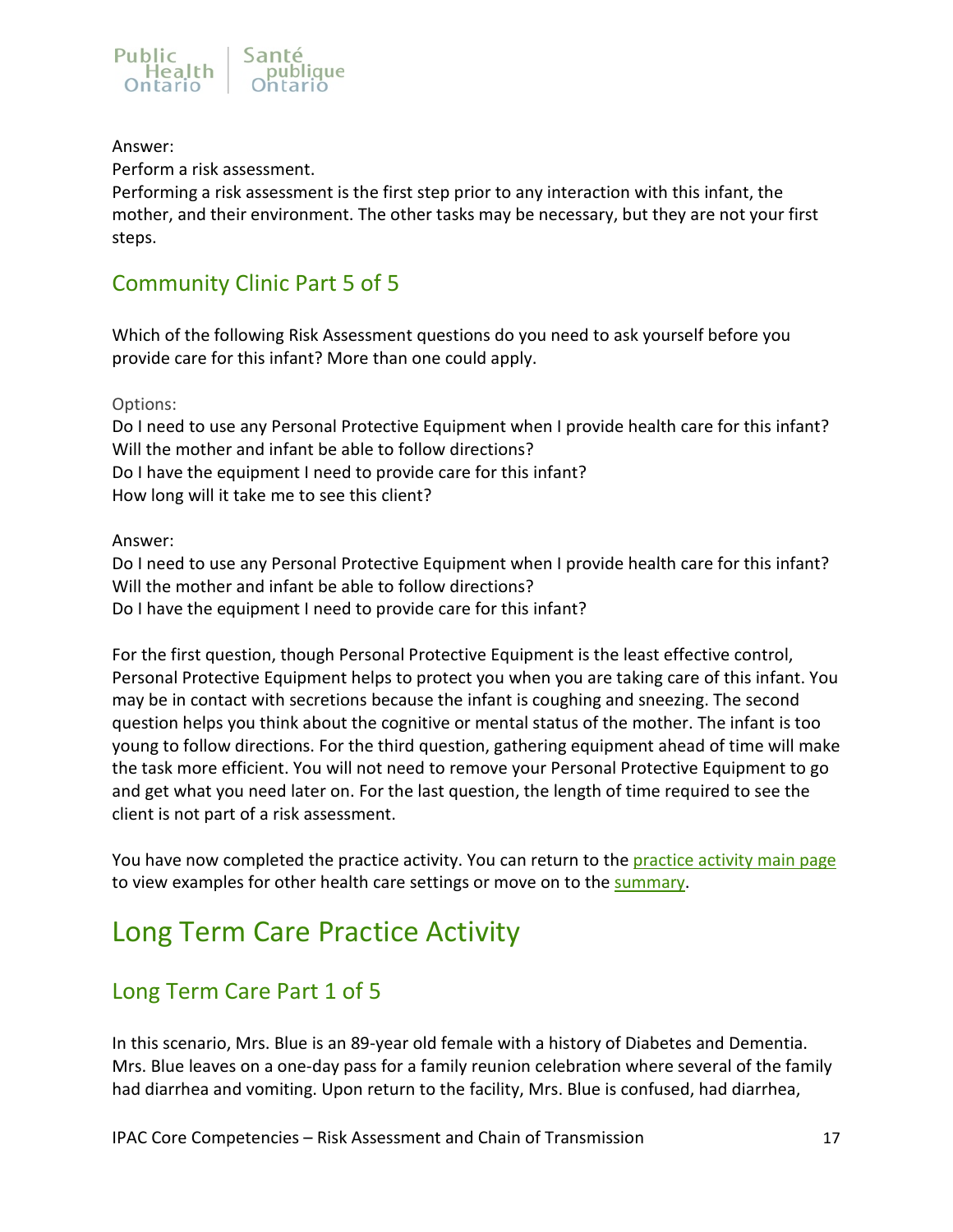

### Answer:

Perform a risk assessment.

Performing a risk assessment is the first step prior to any interaction with this infant, the mother, and their environment. The other tasks may be necessary, but they are not your first steps.

## <span id="page-16-0"></span>Community Clinic Part 5 of 5

Which of the following Risk Assessment questions do you need to ask yourself before you provide care for this infant? More than one could apply.

Options:

Do I need to use any Personal Protective Equipment when I provide health care for this infant? Will the mother and infant be able to follow directions? Do I have the equipment I need to provide care for this infant? How long will it take me to see this client?

### Answer:

Do I need to use any Personal Protective Equipment when I provide health care for this infant? Will the mother and infant be able to follow directions? Do I have the equipment I need to provide care for this infant?

For the first question, though Personal Protective Equipment is the least effective control, Personal Protective Equipment helps to protect you when you are taking care of this infant. You may be in contact with secretions because the infant is coughing and sneezing. The second question helps you think about the cognitive or mental status of the mother. The infant is too young to follow directions. For the third question, gathering equipment ahead of time will make the task more efficient. You will not need to remove your Personal Protective Equipment to go and get what you need later on. For the last question, the length of time required to see the client is not part of a risk assessment.

You have now completed the practice activity. You can return to the [practice activity main page](#page-11-1) to view examples for other health care settings or move on to the [summary.](#page-22-0)

# <span id="page-16-1"></span>Long Term Care Practice Activity

## <span id="page-16-2"></span>Long Term Care Part 1 of 5

In this scenario, Mrs. Blue is an 89-year old female with a history of Diabetes and Dementia. Mrs. Blue leaves on a one-day pass for a family reunion celebration where several of the family had diarrhea and vomiting. Upon return to the facility, Mrs. Blue is confused, had diarrhea,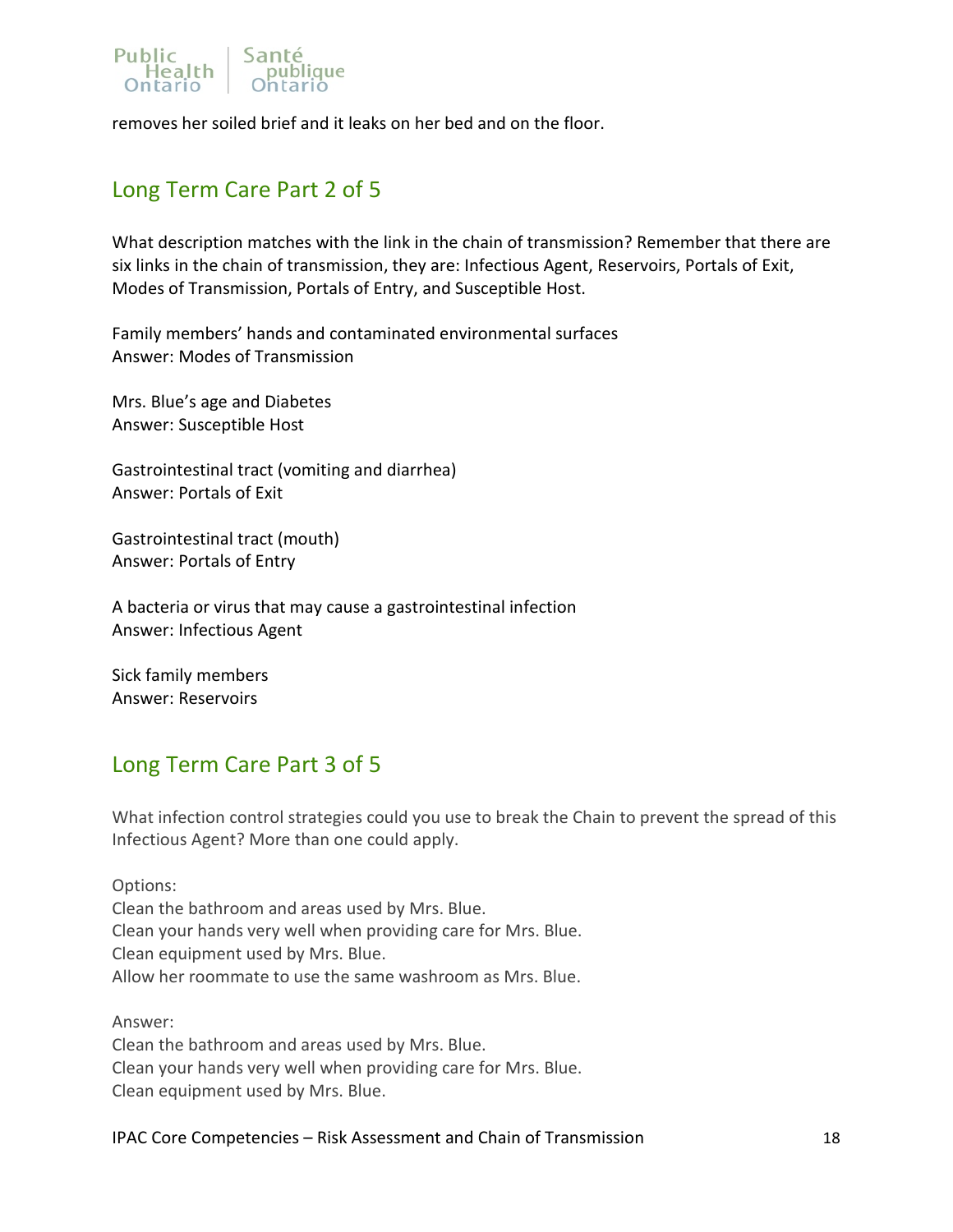

removes her soiled brief and it leaks on her bed and on the floor.

### <span id="page-17-0"></span>Long Term Care Part 2 of 5

What description matches with the link in the chain of transmission? Remember that there are six links in the chain of transmission, they are: Infectious Agent, Reservoirs, Portals of Exit, Modes of Transmission, Portals of Entry, and Susceptible Host.

Family members' hands and contaminated environmental surfaces Answer: Modes of Transmission

Mrs. Blue's age and Diabetes Answer: Susceptible Host

Gastrointestinal tract (vomiting and diarrhea) Answer: Portals of Exit

Gastrointestinal tract (mouth) Answer: Portals of Entry

A bacteria or virus that may cause a gastrointestinal infection Answer: Infectious Agent

Sick family members Answer: Reservoirs

### <span id="page-17-1"></span>Long Term Care Part 3 of 5

What infection control strategies could you use to break the Chain to prevent the spread of this Infectious Agent? More than one could apply.

Options: Clean the bathroom and areas used by Mrs. Blue. Clean your hands very well when providing care for Mrs. Blue. Clean equipment used by Mrs. Blue. Allow her roommate to use the same washroom as Mrs. Blue.

Answer: Clean the bathroom and areas used by Mrs. Blue. Clean your hands very well when providing care for Mrs. Blue. Clean equipment used by Mrs. Blue.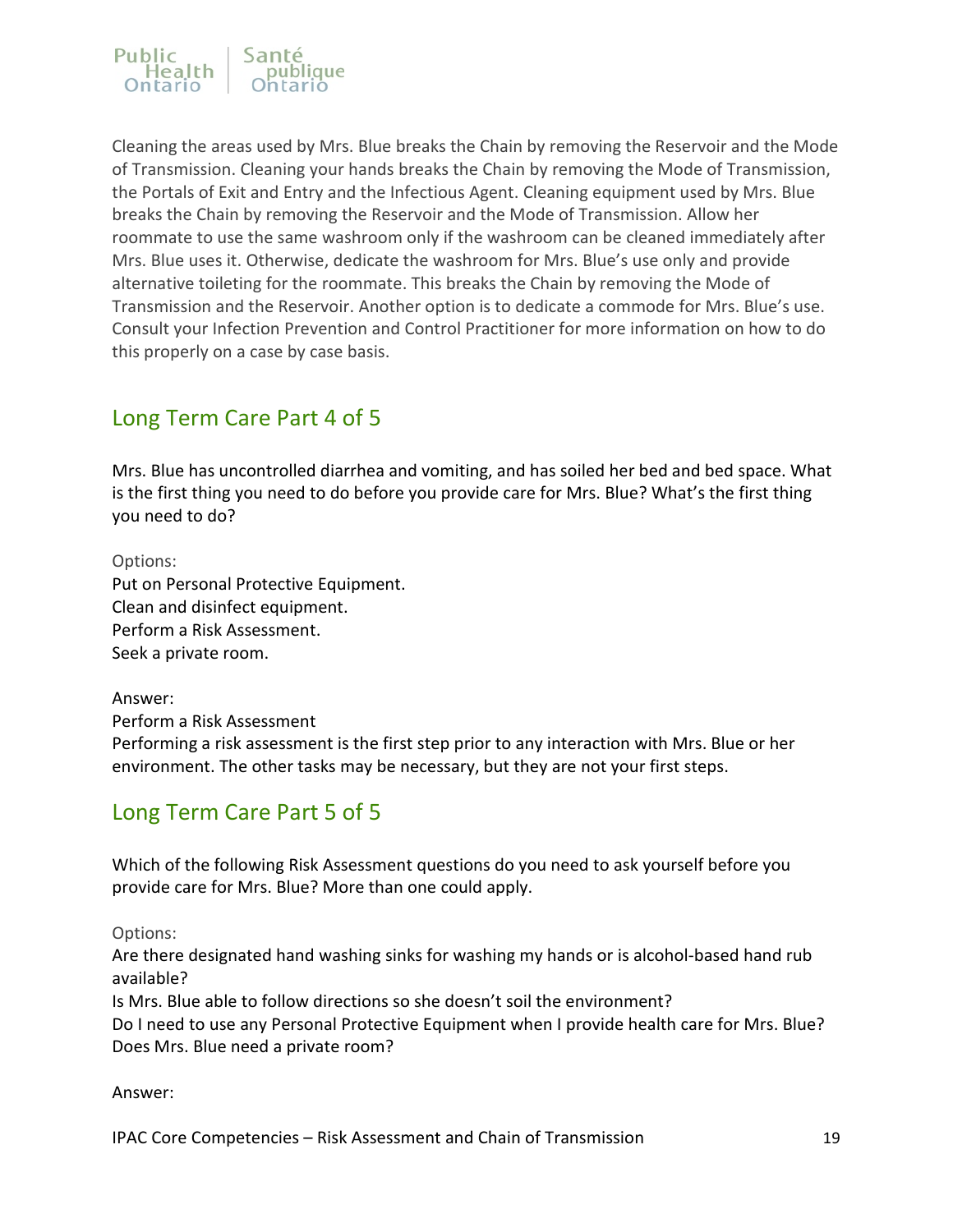

Cleaning the areas used by Mrs. Blue breaks the Chain by removing the Reservoir and the Mode of Transmission. Cleaning your hands breaks the Chain by removing the Mode of Transmission, the Portals of Exit and Entry and the Infectious Agent. Cleaning equipment used by Mrs. Blue breaks the Chain by removing the Reservoir and the Mode of Transmission. Allow her roommate to use the same washroom only if the washroom can be cleaned immediately after Mrs. Blue uses it. Otherwise, dedicate the washroom for Mrs. Blue's use only and provide alternative toileting for the roommate. This breaks the Chain by removing the Mode of Transmission and the Reservoir. Another option is to dedicate a commode for Mrs. Blue's use. Consult your Infection Prevention and Control Practitioner for more information on how to do this properly on a case by case basis.

## <span id="page-18-0"></span>Long Term Care Part 4 of 5

Mrs. Blue has uncontrolled diarrhea and vomiting, and has soiled her bed and bed space. What is the first thing you need to do before you provide care for Mrs. Blue? What's the first thing you need to do?

Options:

Put on Personal Protective Equipment. Clean and disinfect equipment. Perform a Risk Assessment. Seek a private room.

Answer: Perform a Risk Assessment Performing a risk assessment is the first step prior to any interaction with Mrs. Blue or her environment. The other tasks may be necessary, but they are not your first steps.

### <span id="page-18-1"></span>Long Term Care Part 5 of 5

Which of the following Risk Assessment questions do you need to ask yourself before you provide care for Mrs. Blue? More than one could apply.

Options:

Are there designated hand washing sinks for washing my hands or is alcohol-based hand rub available?

Is Mrs. Blue able to follow directions so she doesn't soil the environment?

Do I need to use any Personal Protective Equipment when I provide health care for Mrs. Blue? Does Mrs. Blue need a private room?

Answer: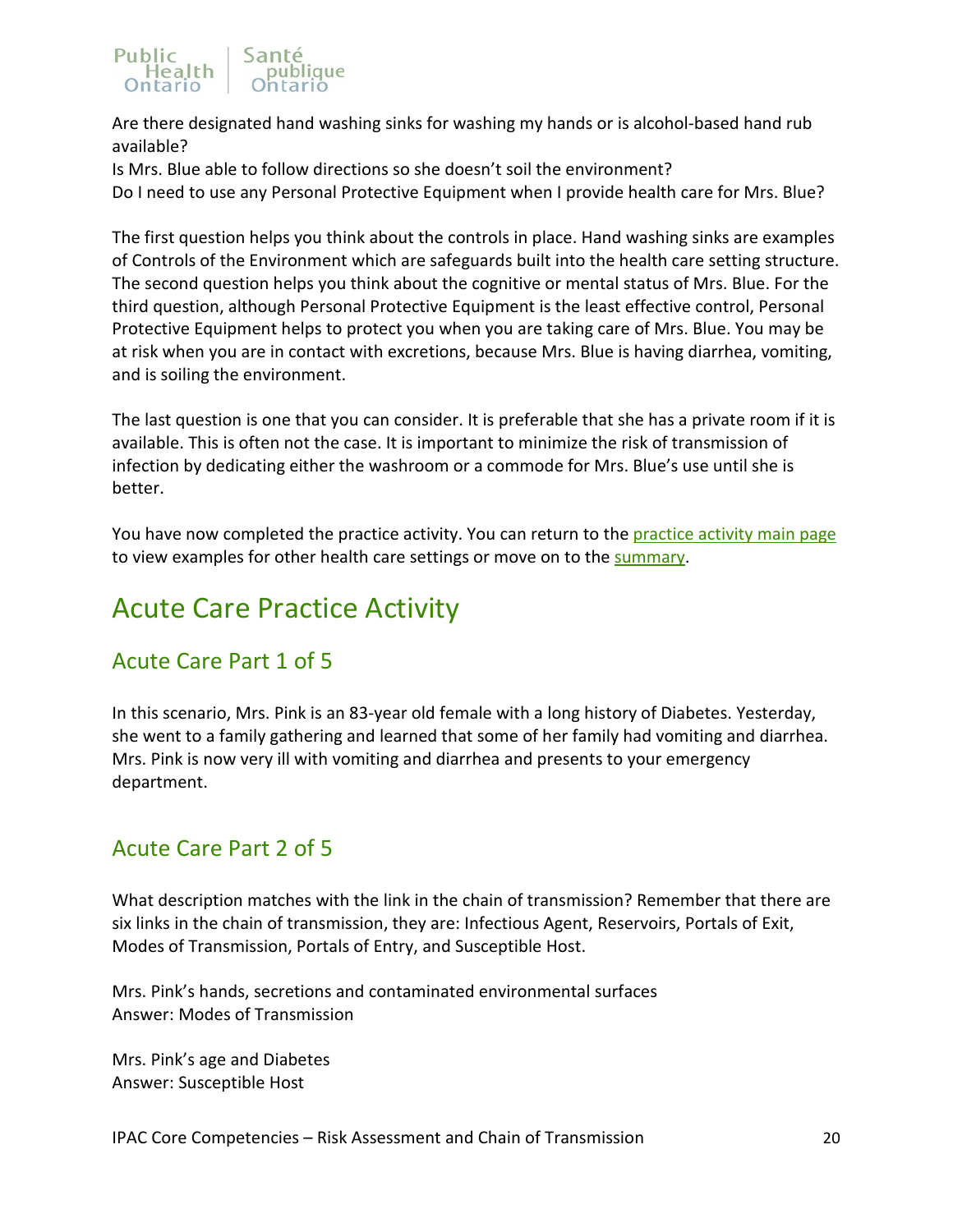### Public Sante Health

Are there designated hand washing sinks for washing my hands or is alcohol-based hand rub available?

Is Mrs. Blue able to follow directions so she doesn't soil the environment? Do I need to use any Personal Protective Equipment when I provide health care for Mrs. Blue?

The first question helps you think about the controls in place. Hand washing sinks are examples of Controls of the Environment which are safeguards built into the health care setting structure. The second question helps you think about the cognitive or mental status of Mrs. Blue. For the third question, although Personal Protective Equipment is the least effective control, Personal Protective Equipment helps to protect you when you are taking care of Mrs. Blue. You may be at risk when you are in contact with excretions, because Mrs. Blue is having diarrhea, vomiting, and is soiling the environment.

The last question is one that you can consider. It is preferable that she has a private room if it is available. This is often not the case. It is important to minimize the risk of transmission of infection by dedicating either the washroom or a commode for Mrs. Blue's use until she is better.

You have now completed the practice activity. You can return to the [practice activity main page](#page-11-1) to view examples for other health care settings or move on to the [summary.](#page-22-0)

# <span id="page-19-0"></span>Acute Care Practice Activity

## <span id="page-19-1"></span>Acute Care Part 1 of 5

In this scenario, Mrs. Pink is an 83-year old female with a long history of Diabetes. Yesterday, she went to a family gathering and learned that some of her family had vomiting and diarrhea. Mrs. Pink is now very ill with vomiting and diarrhea and presents to your emergency department.

## <span id="page-19-2"></span>Acute Care Part 2 of 5

What description matches with the link in the chain of transmission? Remember that there are six links in the chain of transmission, they are: Infectious Agent, Reservoirs, Portals of Exit, Modes of Transmission, Portals of Entry, and Susceptible Host.

Mrs. Pink's hands, secretions and contaminated environmental surfaces Answer: Modes of Transmission

Mrs. Pink's age and Diabetes Answer: Susceptible Host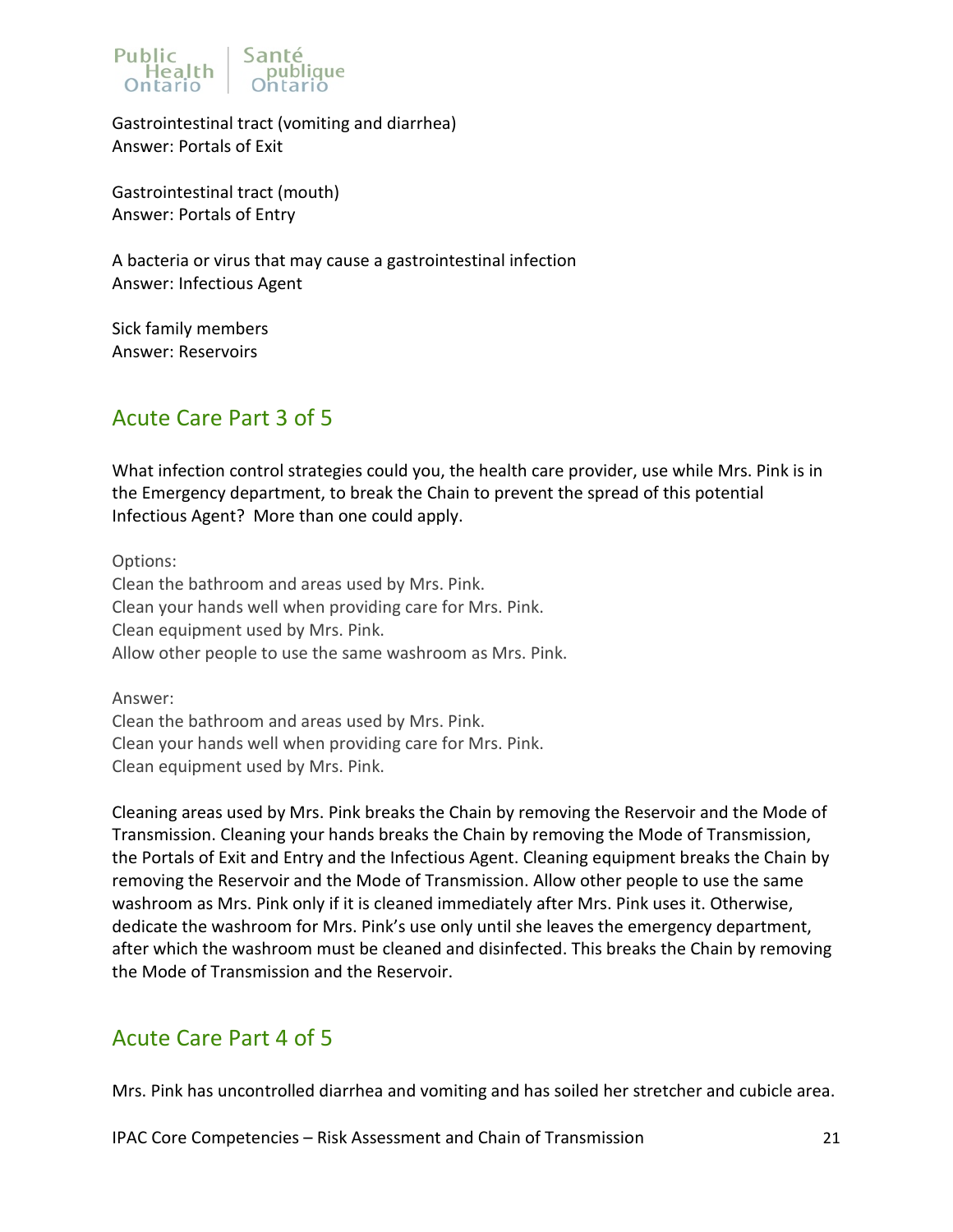

Gastrointestinal tract (vomiting and diarrhea) Answer: Portals of Exit

Gastrointestinal tract (mouth) Answer: Portals of Entry

A bacteria or virus that may cause a gastrointestinal infection Answer: Infectious Agent

Sick family members Answer: Reservoirs

## <span id="page-20-0"></span>Acute Care Part 3 of 5

What infection control strategies could you, the health care provider, use while Mrs. Pink is in the Emergency department, to break the Chain to prevent the spread of this potential Infectious Agent? More than one could apply.

Options: Clean the bathroom and areas used by Mrs. Pink. Clean your hands well when providing care for Mrs. Pink. Clean equipment used by Mrs. Pink. Allow other people to use the same washroom as Mrs. Pink.

Answer: Clean the bathroom and areas used by Mrs. Pink. Clean your hands well when providing care for Mrs. Pink. Clean equipment used by Mrs. Pink.

Cleaning areas used by Mrs. Pink breaks the Chain by removing the Reservoir and the Mode of Transmission. Cleaning your hands breaks the Chain by removing the Mode of Transmission, the Portals of Exit and Entry and the Infectious Agent. Cleaning equipment breaks the Chain by removing the Reservoir and the Mode of Transmission. Allow other people to use the same washroom as Mrs. Pink only if it is cleaned immediately after Mrs. Pink uses it. Otherwise, dedicate the washroom for Mrs. Pink's use only until she leaves the emergency department, after which the washroom must be cleaned and disinfected. This breaks the Chain by removing the Mode of Transmission and the Reservoir.

## <span id="page-20-1"></span>Acute Care Part 4 of 5

Mrs. Pink has uncontrolled diarrhea and vomiting and has soiled her stretcher and cubicle area.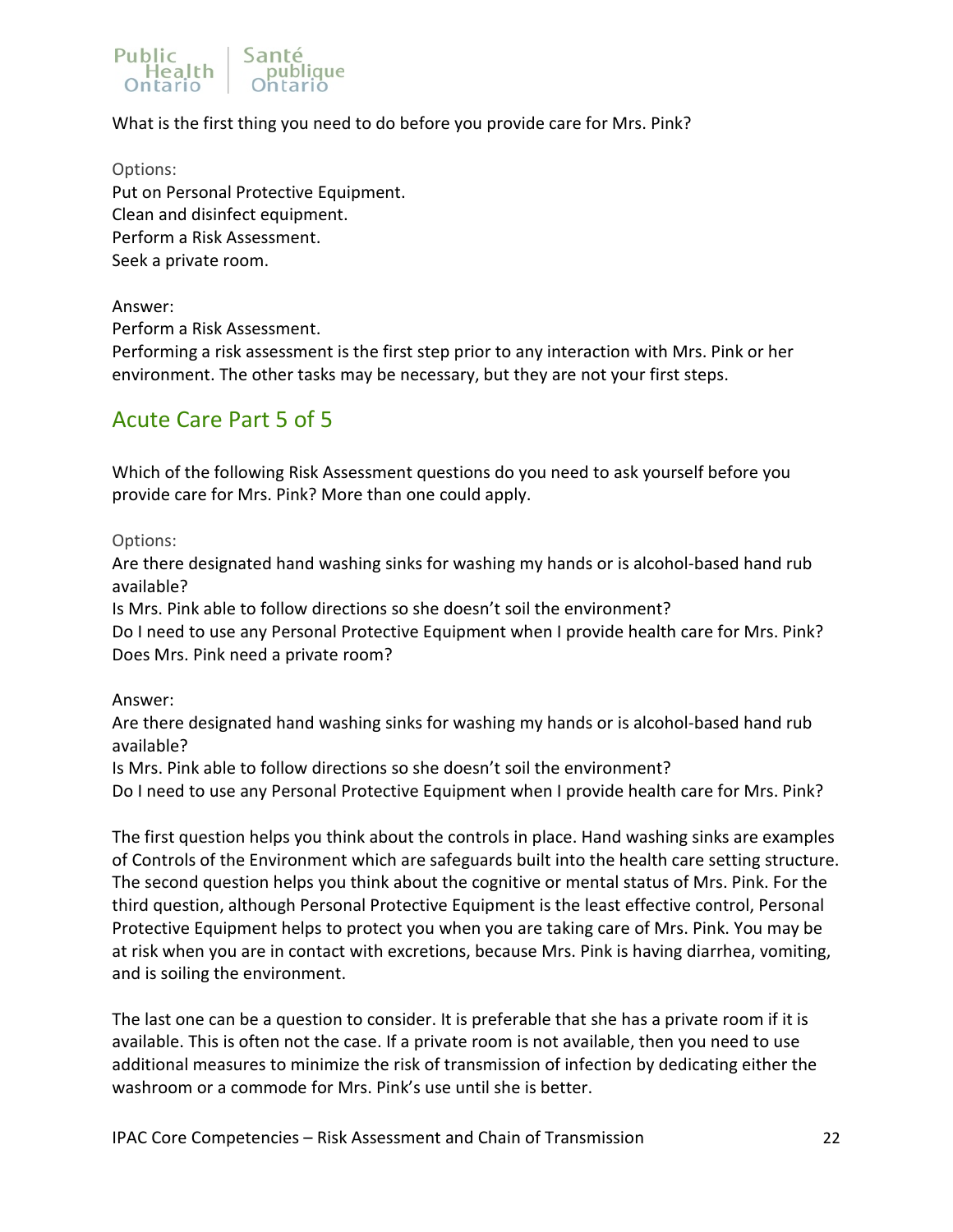### Sante Public Health

What is the first thing you need to do before you provide care for Mrs. Pink?

Options:

Put on Personal Protective Equipment. Clean and disinfect equipment. Perform a Risk Assessment. Seek a private room.

### Answer:

Perform a Risk Assessment.

Performing a risk assessment is the first step prior to any interaction with Mrs. Pink or her environment. The other tasks may be necessary, but they are not your first steps.

### <span id="page-21-0"></span>Acute Care Part 5 of 5

Which of the following Risk Assessment questions do you need to ask yourself before you provide care for Mrs. Pink? More than one could apply.

Options:

Are there designated hand washing sinks for washing my hands or is alcohol-based hand rub available?

Is Mrs. Pink able to follow directions so she doesn't soil the environment?

Do I need to use any Personal Protective Equipment when I provide health care for Mrs. Pink? Does Mrs. Pink need a private room?

### Answer:

Are there designated hand washing sinks for washing my hands or is alcohol-based hand rub available?

Is Mrs. Pink able to follow directions so she doesn't soil the environment?

Do I need to use any Personal Protective Equipment when I provide health care for Mrs. Pink?

The first question helps you think about the controls in place. Hand washing sinks are examples of Controls of the Environment which are safeguards built into the health care setting structure. The second question helps you think about the cognitive or mental status of Mrs. Pink. For the third question, although Personal Protective Equipment is the least effective control, Personal Protective Equipment helps to protect you when you are taking care of Mrs. Pink. You may be at risk when you are in contact with excretions, because Mrs. Pink is having diarrhea, vomiting, and is soiling the environment.

The last one can be a question to consider. It is preferable that she has a private room if it is available. This is often not the case. If a private room is not available, then you need to use additional measures to minimize the risk of transmission of infection by dedicating either the washroom or a commode for Mrs. Pink's use until she is better.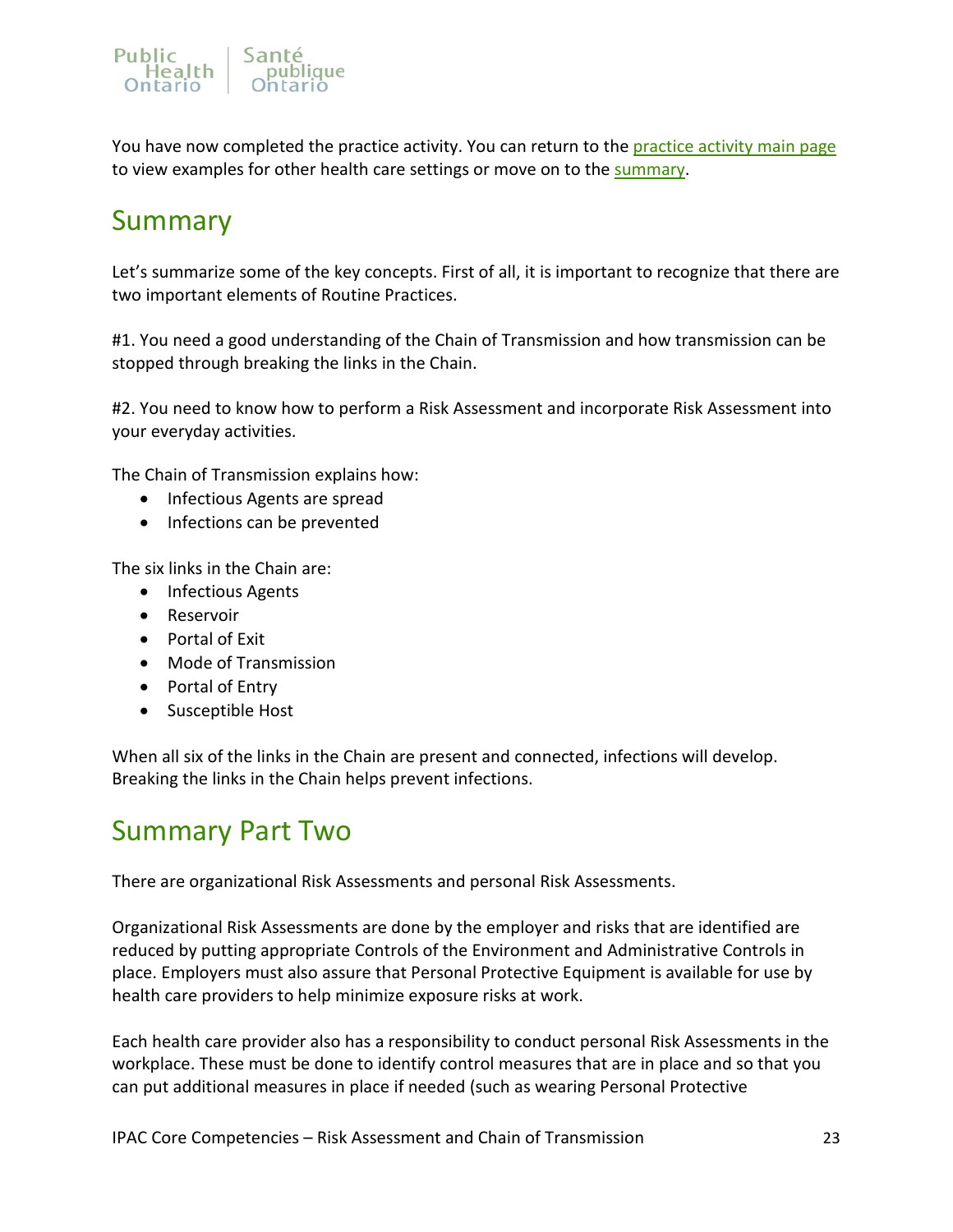

You have now completed the practice activity. You can return to the [practice activity main page](#page-11-1) to view examples for other health care settings or move on to the [summary.](#page-22-0)

# <span id="page-22-0"></span>Summary

Let's summarize some of the key concepts. First of all, it is important to recognize that there are two important elements of Routine Practices.

#1. You need a good understanding of the Chain of Transmission and how transmission can be stopped through breaking the links in the Chain.

#2. You need to know how to perform a Risk Assessment and incorporate Risk Assessment into your everyday activities.

The Chain of Transmission explains how:

- Infectious Agents are spread
- Infections can be prevented

The six links in the Chain are:

- Infectious Agents
- Reservoir
- Portal of Exit
- Mode of Transmission
- Portal of Entry
- Susceptible Host

When all six of the links in the Chain are present and connected, infections will develop. Breaking the links in the Chain helps prevent infections.

## <span id="page-22-1"></span>Summary Part Two

There are organizational Risk Assessments and personal Risk Assessments.

Organizational Risk Assessments are done by the employer and risks that are identified are reduced by putting appropriate Controls of the Environment and Administrative Controls in place. Employers must also assure that Personal Protective Equipment is available for use by health care providers to help minimize exposure risks at work.

Each health care provider also has a responsibility to conduct personal Risk Assessments in the workplace. These must be done to identify control measures that are in place and so that you can put additional measures in place if needed (such as wearing Personal Protective